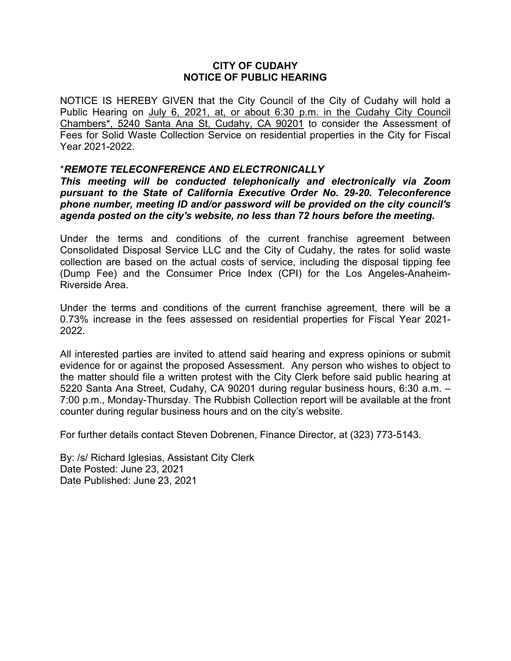# **CITY OF CUDAHY NOTICE OF PUBLIC HEARING**

NOTICE IS HEREBY GIVEN that the City Council of the City of Cudahy will hold a Public Hearing on July 6, 2021, at, or about 6:30 p.m. in the Cudahy City Council Chambers\*, 5240 Santa Ana St, Cudahy, CA 90201 to consider the Assessment of Fees for Solid Waste Collection Service on residential properties in the City for Fiscal Year 2021-2022.

# \**REMOTE TELECONFERENCE AND ELECTRONICALLY*

*This meeting will be conducted telephonically and electronically via Zoom pursuant to the State of California Executive Order No. 29-20. Teleconference phone number, meeting ID and/or password will be provided on the city council's agenda posted on the city's website, no less than 72 hours before the meeting.*

Under the terms and conditions of the current franchise agreement between Consolidated Disposal Service LLC and the City of Cudahy, the rates for solid waste collection are based on the actual costs of service, including the disposal tipping fee (Dump Fee) and the Consumer Price Index (CPI) for the Los Angeles-Anaheim-Riverside Area.

Under the terms and conditions of the current franchise agreement, there will be a 0.73% increase in the fees assessed on residential properties for Fiscal Year 2021- 2022.

All interested parties are invited to attend said hearing and express opinions or submit evidence for or against the proposed Assessment. Any person who wishes to object to the matter should file a written protest with the City Clerk before said public hearing at 5220 Santa Ana Street, Cudahy, CA 90201 during regular business hours, 6:30 a.m. – 7:00 p.m., Monday-Thursday. The Rubbish Collection report will be available at the front counter during regular business hours and on the city's website.

For further details contact Steven Dobrenen, Finance Director, at (323) 773-5143.

By: /s/ Richard Iglesias, Assistant City Clerk Date Posted: June 23, 2021 Date Published: June 23, 2021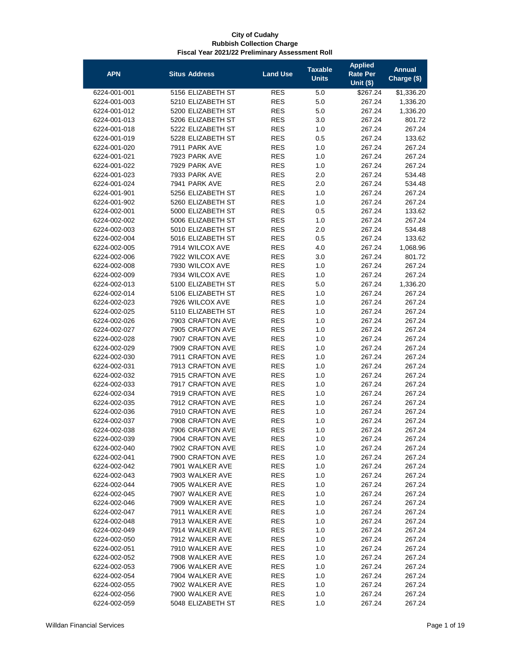| <b>APN</b>   | <b>Situs Address</b> | <b>Land Use</b>          | <b>Taxable</b><br><b>Units</b> | <b>Applied</b><br><b>Rate Per</b> | <b>Annual</b><br>Charge (\$) |
|--------------|----------------------|--------------------------|--------------------------------|-----------------------------------|------------------------------|
|              | 5156 ELIZABETH ST    |                          |                                | <b>Unit (\$)</b>                  |                              |
| 6224-001-001 | 5210 ELIZABETH ST    | <b>RES</b>               | 5.0                            | \$267.24                          | \$1,336.20                   |
| 6224-001-003 |                      | <b>RES</b><br><b>RES</b> | 5.0                            | 267.24                            | 1,336.20                     |
| 6224-001-012 | 5200 ELIZABETH ST    |                          | 5.0                            | 267.24                            | 1,336.20                     |
| 6224-001-013 | 5206 ELIZABETH ST    | <b>RES</b>               | 3.0                            | 267.24                            | 801.72                       |
| 6224-001-018 | 5222 ELIZABETH ST    | <b>RES</b>               | 1.0                            | 267.24                            | 267.24                       |
| 6224-001-019 | 5228 ELIZABETH ST    | <b>RES</b>               | 0.5                            | 267.24                            | 133.62                       |
| 6224-001-020 | 7911 PARK AVE        | <b>RES</b>               | 1.0                            | 267.24                            | 267.24                       |
| 6224-001-021 | 7923 PARK AVE        | <b>RES</b>               | 1.0                            | 267.24                            | 267.24                       |
| 6224-001-022 | 7929 PARK AVE        | <b>RES</b>               | 1.0                            | 267.24                            | 267.24                       |
| 6224-001-023 | 7933 PARK AVE        | <b>RES</b>               | 2.0                            | 267.24                            | 534.48                       |
| 6224-001-024 | 7941 PARK AVE        | <b>RES</b>               | 2.0                            | 267.24                            | 534.48                       |
| 6224-001-901 | 5256 ELIZABETH ST    | <b>RES</b>               | 1.0                            | 267.24                            | 267.24                       |
| 6224-001-902 | 5260 ELIZABETH ST    | <b>RES</b>               | 1.0                            | 267.24                            | 267.24                       |
| 6224-002-001 | 5000 ELIZABETH ST    | <b>RES</b>               | 0.5                            | 267.24                            | 133.62                       |
| 6224-002-002 | 5006 ELIZABETH ST    | <b>RES</b>               | 1.0                            | 267.24                            | 267.24                       |
| 6224-002-003 | 5010 ELIZABETH ST    | <b>RES</b>               | 2.0                            | 267.24                            | 534.48                       |
| 6224-002-004 | 5016 ELIZABETH ST    | <b>RES</b>               | 0.5                            | 267.24                            | 133.62                       |
| 6224-002-005 | 7914 WILCOX AVE      | <b>RES</b>               | 4.0                            | 267.24                            | 1,068.96                     |
| 6224-002-006 | 7922 WILCOX AVE      | <b>RES</b>               | 3.0                            | 267.24                            | 801.72                       |
| 6224-002-008 | 7930 WILCOX AVE      | <b>RES</b>               | 1.0                            | 267.24                            | 267.24                       |
| 6224-002-009 | 7934 WILCOX AVE      | <b>RES</b>               | 1.0                            | 267.24                            | 267.24                       |
| 6224-002-013 | 5100 ELIZABETH ST    | <b>RES</b>               | 5.0                            | 267.24                            | 1,336.20                     |
| 6224-002-014 | 5106 ELIZABETH ST    | <b>RES</b>               | 1.0                            | 267.24                            | 267.24                       |
| 6224-002-023 | 7926 WILCOX AVE      | <b>RES</b>               | 1.0                            | 267.24                            | 267.24                       |
| 6224-002-025 | 5110 ELIZABETH ST    | <b>RES</b>               | 1.0                            | 267.24                            | 267.24                       |
| 6224-002-026 | 7903 CRAFTON AVE     | <b>RES</b>               | 1.0                            | 267.24                            | 267.24                       |
| 6224-002-027 | 7905 CRAFTON AVE     | <b>RES</b>               | 1.0                            | 267.24                            | 267.24                       |
| 6224-002-028 | 7907 CRAFTON AVE     | <b>RES</b>               | 1.0                            | 267.24                            | 267.24                       |
| 6224-002-029 | 7909 CRAFTON AVE     | <b>RES</b>               | 1.0                            | 267.24                            | 267.24                       |
| 6224-002-030 | 7911 CRAFTON AVE     | <b>RES</b>               | 1.0                            | 267.24                            | 267.24                       |
| 6224-002-031 | 7913 CRAFTON AVE     | <b>RES</b>               | 1.0                            | 267.24                            | 267.24                       |
| 6224-002-032 | 7915 CRAFTON AVE     | <b>RES</b>               | 1.0                            | 267.24                            | 267.24                       |
| 6224-002-033 | 7917 CRAFTON AVE     | <b>RES</b>               | 1.0                            | 267.24                            | 267.24                       |
| 6224-002-034 | 7919 CRAFTON AVE     | <b>RES</b>               | 1.0                            | 267.24                            | 267.24                       |
| 6224-002-035 | 7912 CRAFTON AVE     | <b>RES</b>               | 1.0                            | 267.24                            | 267.24                       |
| 6224-002-036 | 7910 CRAFTON AVE     | <b>RES</b>               | 1.0                            | 267.24                            | 267.24                       |
| 6224-002-037 | 7908 CRAFTON AVE     | <b>RES</b>               | 1.0                            | 267.24                            | 267.24                       |
| 6224-002-038 | 7906 CRAFTON AVE     | <b>RES</b>               | 1.0                            | 267.24                            | 267.24                       |
| 6224-002-039 | 7904 CRAFTON AVE     | <b>RES</b>               | 1.0                            | 267.24                            | 267.24                       |
| 6224-002-040 | 7902 CRAFTON AVE     | <b>RES</b>               | 1.0                            | 267.24                            | 267.24                       |
| 6224-002-041 | 7900 CRAFTON AVE     | <b>RES</b>               | 1.0                            | 267.24                            | 267.24                       |
| 6224-002-042 | 7901 WALKER AVE      | <b>RES</b>               | 1.0                            | 267.24                            | 267.24                       |
| 6224-002-043 | 7903 WALKER AVE      | <b>RES</b>               | 1.0                            | 267.24                            | 267.24                       |
| 6224-002-044 | 7905 WALKER AVE      | <b>RES</b>               | 1.0                            | 267.24                            | 267.24                       |
| 6224-002-045 | 7907 WALKER AVE      | <b>RES</b>               | 1.0                            | 267.24                            | 267.24                       |
| 6224-002-046 | 7909 WALKER AVE      | <b>RES</b>               | 1.0                            | 267.24                            | 267.24                       |
| 6224-002-047 | 7911 WALKER AVE      | <b>RES</b>               | 1.0                            | 267.24                            | 267.24                       |
| 6224-002-048 | 7913 WALKER AVE      | <b>RES</b>               | 1.0                            | 267.24                            | 267.24                       |
| 6224-002-049 | 7914 WALKER AVE      | <b>RES</b>               | 1.0                            | 267.24                            | 267.24                       |
| 6224-002-050 | 7912 WALKER AVE      | <b>RES</b>               | 1.0                            | 267.24                            | 267.24                       |
| 6224-002-051 | 7910 WALKER AVE      | <b>RES</b>               | 1.0                            | 267.24                            | 267.24                       |
| 6224-002-052 | 7908 WALKER AVE      | <b>RES</b>               | 1.0                            | 267.24                            | 267.24                       |
| 6224-002-053 | 7906 WALKER AVE      | <b>RES</b>               | 1.0                            | 267.24                            | 267.24                       |
| 6224-002-054 | 7904 WALKER AVE      | <b>RES</b>               | 1.0                            | 267.24                            | 267.24                       |
| 6224-002-055 | 7902 WALKER AVE      | RES                      | 1.0                            | 267.24                            | 267.24                       |
| 6224-002-056 | 7900 WALKER AVE      | <b>RES</b>               | 1.0                            | 267.24                            | 267.24                       |
| 6224-002-059 | 5048 ELIZABETH ST    | <b>RES</b>               | 1.0                            | 267.24                            | 267.24                       |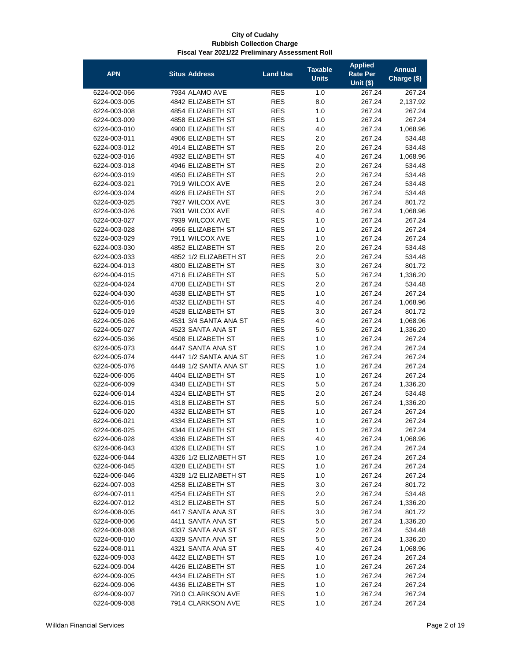| <b>APN</b>                   | <b>Situs Address</b>                   | <b>Land Use</b> | <b>Taxable</b><br><b>Units</b> | <b>Applied</b><br><b>Rate Per</b><br><b>Unit (\$)</b> | <b>Annual</b><br>Charge (\$) |
|------------------------------|----------------------------------------|-----------------|--------------------------------|-------------------------------------------------------|------------------------------|
| 6224-002-066                 | 7934 ALAMO AVE                         | <b>RES</b>      | 1.0                            | 267.24                                                | 267.24                       |
| 6224-003-005                 | 4842 ELIZABETH ST                      | <b>RES</b>      | 8.0                            | 267.24                                                | 2,137.92                     |
| 6224-003-008                 | 4854 ELIZABETH ST                      | <b>RES</b>      | 1.0                            | 267.24                                                | 267.24                       |
| 6224-003-009                 | 4858 ELIZABETH ST                      | <b>RES</b>      | 1.0                            | 267.24                                                | 267.24                       |
| 6224-003-010                 | 4900 ELIZABETH ST                      | <b>RES</b>      | 4.0                            | 267.24                                                | 1,068.96                     |
| 6224-003-011                 | 4906 ELIZABETH ST                      | <b>RES</b>      | 2.0                            | 267.24                                                | 534.48                       |
| 6224-003-012                 | 4914 ELIZABETH ST                      | <b>RES</b>      | 2.0                            | 267.24                                                | 534.48                       |
| 6224-003-016                 | 4932 ELIZABETH ST                      | <b>RES</b>      | 4.0                            | 267.24                                                | 1,068.96                     |
| 6224-003-018                 | 4946 ELIZABETH ST                      | <b>RES</b>      | 2.0                            | 267.24                                                | 534.48                       |
| 6224-003-019                 | 4950 ELIZABETH ST                      | <b>RES</b>      | 2.0                            | 267.24                                                | 534.48                       |
| 6224-003-021                 | 7919 WILCOX AVE                        | <b>RES</b>      | 2.0                            | 267.24                                                | 534.48                       |
| 6224-003-024                 | 4926 ELIZABETH ST                      | <b>RES</b>      | 2.0                            | 267.24                                                | 534.48                       |
| 6224-003-025                 | 7927 WILCOX AVE                        | <b>RES</b>      | 3.0                            | 267.24                                                | 801.72                       |
| 6224-003-026                 | 7931 WILCOX AVE                        | <b>RES</b>      | 4.0                            | 267.24                                                | 1,068.96                     |
| 6224-003-027                 | 7939 WILCOX AVE                        | <b>RES</b>      | 1.0                            | 267.24                                                | 267.24                       |
| 6224-003-028                 | 4956 ELIZABETH ST                      | <b>RES</b>      | 1.0                            | 267.24                                                | 267.24                       |
| 6224-003-029                 | 7911 WILCOX AVE                        | <b>RES</b>      | 1.0                            | 267.24                                                | 267.24                       |
| 6224-003-030                 | 4852 ELIZABETH ST                      | <b>RES</b>      | 2.0                            | 267.24                                                | 534.48                       |
| 6224-003-033                 | 4852 1/2 ELIZABETH ST                  | <b>RES</b>      | 2.0                            | 267.24                                                | 534.48                       |
| 6224-004-013                 | 4800 ELIZABETH ST                      | <b>RES</b>      | 3.0                            | 267.24                                                | 801.72                       |
| 6224-004-015                 | 4716 ELIZABETH ST                      | <b>RES</b>      | 5.0                            | 267.24                                                | 1,336.20                     |
| 6224-004-024                 | 4708 ELIZABETH ST                      | <b>RES</b>      | 2.0                            | 267.24                                                | 534.48                       |
| 6224-004-030                 | 4638 ELIZABETH ST                      | <b>RES</b>      | 1.0                            | 267.24                                                | 267.24                       |
| 6224-005-016                 | 4532 ELIZABETH ST                      | <b>RES</b>      | 4.0                            | 267.24                                                |                              |
| 6224-005-019                 | 4528 ELIZABETH ST                      | <b>RES</b>      | 3.0                            | 267.24                                                | 1,068.96<br>801.72           |
| 6224-005-026                 | 4531 3/4 SANTA ANA ST                  | <b>RES</b>      | 4.0                            | 267.24                                                |                              |
| 6224-005-027                 | 4523 SANTA ANA ST                      | <b>RES</b>      | 5.0                            | 267.24                                                | 1,068.96                     |
|                              |                                        | <b>RES</b>      |                                |                                                       | 1,336.20                     |
| 6224-005-036                 | 4508 ELIZABETH ST                      | <b>RES</b>      | 1.0                            | 267.24                                                | 267.24                       |
| 6224-005-073                 | 4447 SANTA ANA ST                      |                 | 1.0                            | 267.24                                                | 267.24                       |
| 6224-005-074                 | 4447 1/2 SANTA ANA ST                  | <b>RES</b>      | 1.0                            | 267.24                                                | 267.24                       |
| 6224-005-076                 | 4449 1/2 SANTA ANA ST                  | <b>RES</b>      | 1.0                            | 267.24                                                | 267.24                       |
| 6224-006-005                 | 4404 ELIZABETH ST                      | <b>RES</b>      | 1.0                            | 267.24                                                | 267.24                       |
| 6224-006-009<br>6224-006-014 | 4348 ELIZABETH ST                      | <b>RES</b>      | 5.0                            | 267.24<br>267.24                                      | 1,336.20                     |
| 6224-006-015                 | 4324 ELIZABETH ST                      | <b>RES</b>      | 2.0                            |                                                       | 534.48                       |
|                              | 4318 ELIZABETH ST<br>4332 ELIZABETH ST | <b>RES</b>      | 5.0                            | 267.24                                                | 1,336.20                     |
| 6224-006-020                 |                                        | <b>RES</b>      | 1.0                            | 267.24                                                | 267.24                       |
| 6224-006-021                 | 4334 ELIZABETH ST                      | <b>RES</b>      | 1.0                            | 267.24                                                | 267.24                       |
| 6224-006-025                 | 4344 ELIZABETH ST                      | <b>RES</b>      | 1.0                            | 267.24                                                | 267.24                       |
| 6224-006-028                 | 4336 ELIZABETH ST                      | <b>RES</b>      | 4.0                            | 267.24                                                | 1,068.96                     |
| 6224-006-043                 | 4326 ELIZABETH ST                      | <b>RES</b>      | 1.0                            | 267.24                                                | 267.24                       |
| 6224-006-044                 | 4326 1/2 ELIZABETH ST                  | <b>RES</b>      | 1.0                            | 267.24                                                | 267.24                       |
| 6224-006-045                 | 4328 ELIZABETH ST                      | <b>RES</b>      | 1.0                            | 267.24                                                | 267.24                       |
| 6224-006-046                 | 4328 1/2 ELIZABETH ST                  | <b>RES</b>      | 1.0                            | 267.24                                                | 267.24                       |
| 6224-007-003                 | 4258 ELIZABETH ST                      | <b>RES</b>      | 3.0                            | 267.24                                                | 801.72                       |
| 6224-007-011                 | 4254 ELIZABETH ST                      | <b>RES</b>      | 2.0                            | 267.24                                                | 534.48                       |
| 6224-007-012                 | 4312 ELIZABETH ST                      | <b>RES</b>      | 5.0                            | 267.24                                                | 1,336.20                     |
| 6224-008-005                 | 4417 SANTA ANA ST                      | <b>RES</b>      | 3.0                            | 267.24                                                | 801.72                       |
| 6224-008-006                 | 4411 SANTA ANA ST                      | <b>RES</b>      | 5.0                            | 267.24                                                | 1,336.20                     |
| 6224-008-008                 | 4337 SANTA ANA ST                      | <b>RES</b>      | 2.0                            | 267.24                                                | 534.48                       |
| 6224-008-010                 | 4329 SANTA ANA ST                      | <b>RES</b>      | 5.0                            | 267.24                                                | 1,336.20                     |
| 6224-008-011                 | 4321 SANTA ANA ST                      | <b>RES</b>      | 4.0                            | 267.24                                                | 1,068.96                     |
| 6224-009-003                 | 4422 ELIZABETH ST                      | <b>RES</b>      | 1.0                            | 267.24                                                | 267.24                       |
| 6224-009-004                 | 4426 ELIZABETH ST                      | <b>RES</b>      | 1.0                            | 267.24                                                | 267.24                       |
| 6224-009-005                 | 4434 ELIZABETH ST                      | <b>RES</b>      | 1.0                            | 267.24                                                | 267.24                       |
| 6224-009-006                 | 4436 ELIZABETH ST                      | RES             | 1.0                            | 267.24                                                | 267.24                       |
| 6224-009-007                 | 7910 CLARKSON AVE                      | <b>RES</b>      | 1.0                            | 267.24                                                | 267.24                       |
| 6224-009-008                 | 7914 CLARKSON AVE                      | <b>RES</b>      | 1.0                            | 267.24                                                | 267.24                       |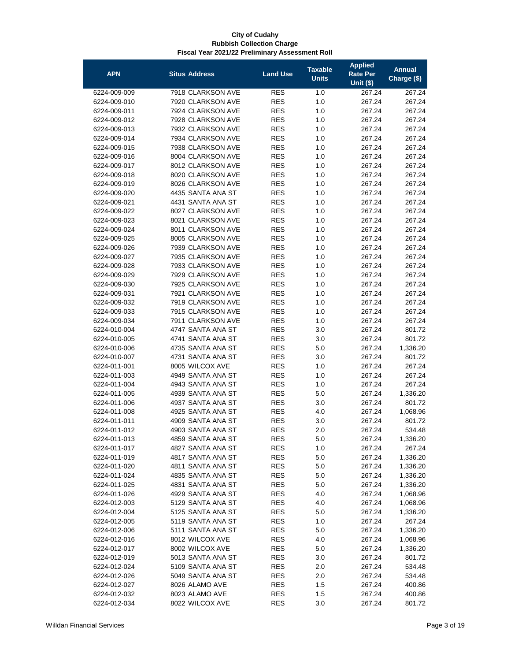| <b>APN</b>   | <b>Situs Address</b> | <b>Land Use</b> | <b>Taxable</b><br><b>Units</b> | <b>Applied</b><br>Rate Per<br><b>Unit (\$)</b> | <b>Annual</b><br>Charge (\$) |
|--------------|----------------------|-----------------|--------------------------------|------------------------------------------------|------------------------------|
| 6224-009-009 | 7918 CLARKSON AVE    | <b>RES</b>      | 1.0                            | 267.24                                         |                              |
| 6224-009-010 | 7920 CLARKSON AVE    | <b>RES</b>      | 1.0                            | 267.24                                         | 267.24<br>267.24             |
| 6224-009-011 | 7924 CLARKSON AVE    | <b>RES</b>      | 1.0                            | 267.24                                         | 267.24                       |
| 6224-009-012 | 7928 CLARKSON AVE    | <b>RES</b>      | 1.0                            | 267.24                                         | 267.24                       |
| 6224-009-013 | 7932 CLARKSON AVE    | <b>RES</b>      | 1.0                            | 267.24                                         | 267.24                       |
| 6224-009-014 | 7934 CLARKSON AVE    | <b>RES</b>      | 1.0                            | 267.24                                         | 267.24                       |
| 6224-009-015 | 7938 CLARKSON AVE    | <b>RES</b>      | 1.0                            | 267.24                                         | 267.24                       |
| 6224-009-016 | 8004 CLARKSON AVE    | <b>RES</b>      | 1.0                            | 267.24                                         | 267.24                       |
| 6224-009-017 | 8012 CLARKSON AVE    | <b>RES</b>      | 1.0                            | 267.24                                         | 267.24                       |
| 6224-009-018 | 8020 CLARKSON AVE    | <b>RES</b>      | 1.0                            | 267.24                                         | 267.24                       |
| 6224-009-019 | 8026 CLARKSON AVE    | <b>RES</b>      | 1.0                            | 267.24                                         | 267.24                       |
| 6224-009-020 | 4435 SANTA ANA ST    | <b>RES</b>      | 1.0                            | 267.24                                         | 267.24                       |
| 6224-009-021 | 4431 SANTA ANA ST    | <b>RES</b>      | 1.0                            | 267.24                                         | 267.24                       |
| 6224-009-022 | 8027 CLARKSON AVE    | <b>RES</b>      | 1.0                            | 267.24                                         | 267.24                       |
| 6224-009-023 | 8021 CLARKSON AVE    | <b>RES</b>      | 1.0                            | 267.24                                         | 267.24                       |
| 6224-009-024 | 8011 CLARKSON AVE    | <b>RES</b>      | 1.0                            | 267.24                                         | 267.24                       |
| 6224-009-025 | 8005 CLARKSON AVE    | <b>RES</b>      | 1.0                            | 267.24                                         | 267.24                       |
| 6224-009-026 | 7939 CLARKSON AVE    | <b>RES</b>      | 1.0                            | 267.24                                         | 267.24                       |
| 6224-009-027 | 7935 CLARKSON AVE    | <b>RES</b>      | 1.0                            | 267.24                                         | 267.24                       |
| 6224-009-028 | 7933 CLARKSON AVE    | <b>RES</b>      | 1.0                            | 267.24                                         | 267.24                       |
| 6224-009-029 | 7929 CLARKSON AVE    | <b>RES</b>      | 1.0                            | 267.24                                         | 267.24                       |
| 6224-009-030 | 7925 CLARKSON AVE    | <b>RES</b>      | 1.0                            | 267.24                                         | 267.24                       |
| 6224-009-031 | 7921 CLARKSON AVE    | <b>RES</b>      | 1.0                            | 267.24                                         | 267.24                       |
| 6224-009-032 | 7919 CLARKSON AVE    | <b>RES</b>      | 1.0                            | 267.24                                         | 267.24                       |
| 6224-009-033 | 7915 CLARKSON AVE    | <b>RES</b>      | 1.0                            | 267.24                                         | 267.24                       |
| 6224-009-034 | 7911 CLARKSON AVE    | <b>RES</b>      | 1.0                            | 267.24                                         | 267.24                       |
| 6224-010-004 | 4747 SANTA ANA ST    | <b>RES</b>      | 3.0                            | 267.24                                         | 801.72                       |
| 6224-010-005 | 4741 SANTA ANA ST    | <b>RES</b>      | 3.0                            | 267.24                                         | 801.72                       |
| 6224-010-006 | 4735 SANTA ANA ST    | <b>RES</b>      | 5.0                            | 267.24                                         | 1,336.20                     |
| 6224-010-007 | 4731 SANTA ANA ST    | <b>RES</b>      | 3.0                            | 267.24                                         | 801.72                       |
| 6224-011-001 | 8005 WILCOX AVE      | <b>RES</b>      | 1.0                            | 267.24                                         | 267.24                       |
| 6224-011-003 | 4949 SANTA ANA ST    | <b>RES</b>      | 1.0                            | 267.24                                         | 267.24                       |
| 6224-011-004 | 4943 SANTA ANA ST    | <b>RES</b>      | 1.0                            | 267.24                                         | 267.24                       |
| 6224-011-005 | 4939 SANTA ANA ST    | <b>RES</b>      | 5.0                            | 267.24                                         | 1,336.20                     |
| 6224-011-006 | 4937 SANTA ANA ST    | <b>RES</b>      | 3.0                            | 267.24                                         | 801.72                       |
| 6224-011-008 | 4925 SANTA ANA ST    | <b>RES</b>      | 4.0                            | 267.24                                         | 1,068.96                     |
| 6224-011-011 | 4909 SANTA ANA ST    | <b>RES</b>      | 3.0                            | 267.24                                         | 801.72                       |
| 6224-011-012 | 4903 SANTA ANA ST    | <b>RES</b>      | 2.0                            | 267.24                                         | 534.48                       |
| 6224-011-013 | 4859 SANTA ANA ST    | <b>RES</b>      | 5.0                            | 267.24                                         | 1,336.20                     |
| 6224-011-017 | 4827 SANTA ANA ST    | <b>RES</b>      | 1.0                            | 267.24                                         | 267.24                       |
| 6224-011-019 | 4817 SANTA ANA ST    | <b>RES</b>      | 5.0                            | 267.24                                         | 1,336.20                     |
| 6224-011-020 | 4811 SANTA ANA ST    | <b>RES</b>      | 5.0                            | 267.24                                         | 1,336.20                     |
| 6224-011-024 | 4835 SANTA ANA ST    | <b>RES</b>      | 5.0                            | 267.24                                         | 1,336.20                     |
| 6224-011-025 | 4831 SANTA ANA ST    | <b>RES</b>      | 5.0                            | 267.24                                         | 1,336.20                     |
| 6224-011-026 | 4929 SANTA ANA ST    | <b>RES</b>      | 4.0                            | 267.24                                         | 1,068.96                     |
| 6224-012-003 | 5129 SANTA ANA ST    | <b>RES</b>      | 4.0                            | 267.24                                         | 1,068.96                     |
| 6224-012-004 | 5125 SANTA ANA ST    | <b>RES</b>      | 5.0                            | 267.24                                         | 1,336.20                     |
| 6224-012-005 | 5119 SANTA ANA ST    | <b>RES</b>      | 1.0                            | 267.24                                         | 267.24                       |
| 6224-012-006 | 5111 SANTA ANA ST    | <b>RES</b>      | 5.0                            | 267.24                                         | 1,336.20                     |
| 6224-012-016 | 8012 WILCOX AVE      | <b>RES</b>      | 4.0                            | 267.24                                         | 1,068.96                     |
| 6224-012-017 | 8002 WILCOX AVE      | <b>RES</b>      | 5.0                            | 267.24                                         | 1,336.20                     |
| 6224-012-019 | 5013 SANTA ANA ST    | <b>RES</b>      | 3.0                            | 267.24                                         | 801.72                       |
| 6224-012-024 | 5109 SANTA ANA ST    | <b>RES</b>      | 2.0                            | 267.24                                         | 534.48                       |
| 6224-012-026 | 5049 SANTA ANA ST    | <b>RES</b>      | 2.0                            | 267.24                                         | 534.48                       |
| 6224-012-027 | 8026 ALAMO AVE       | RES             | 1.5                            | 267.24                                         | 400.86                       |
| 6224-012-032 | 8023 ALAMO AVE       | <b>RES</b>      | $1.5$                          | 267.24                                         | 400.86                       |
| 6224-012-034 | 8022 WILCOX AVE      | <b>RES</b>      | 3.0                            | 267.24                                         | 801.72                       |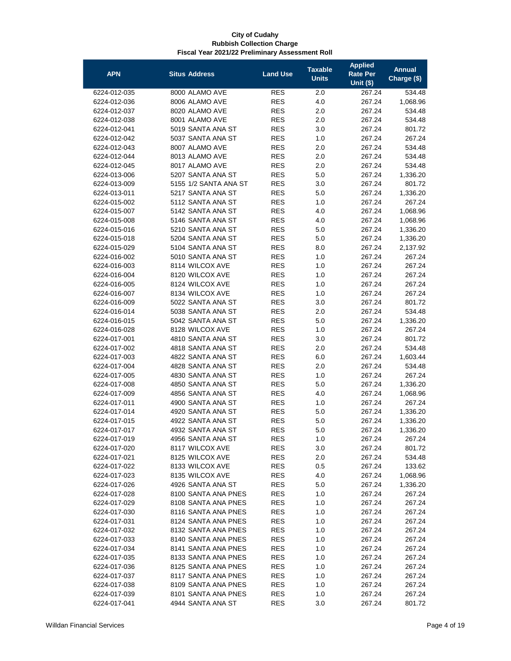| <b>APN</b>                   | <b>Situs Address</b>                   | <b>Land Use</b>          | <b>Taxable</b><br><b>Units</b> | <b>Applied</b><br>Rate Per<br>Unit $($)$ | <b>Annual</b><br>Charge (\$) |
|------------------------------|----------------------------------------|--------------------------|--------------------------------|------------------------------------------|------------------------------|
|                              |                                        |                          |                                | 267.24                                   |                              |
| 6224-012-035<br>6224-012-036 | 8000 ALAMO AVE<br>8006 ALAMO AVE       | <b>RES</b><br><b>RES</b> | 2.0<br>4.0                     |                                          | 534.48                       |
| 6224-012-037                 | 8020 ALAMO AVE                         | <b>RES</b>               | 2.0                            | 267.24<br>267.24                         | 1,068.96<br>534.48           |
| 6224-012-038                 | 8001 ALAMO AVE                         | <b>RES</b>               | 2.0                            | 267.24                                   | 534.48                       |
|                              | 5019 SANTA ANA ST                      |                          |                                |                                          | 801.72                       |
| 6224-012-041                 | 5037 SANTA ANA ST                      | <b>RES</b>               | 3.0                            | 267.24                                   |                              |
| 6224-012-042<br>6224-012-043 | 8007 ALAMO AVE                         | <b>RES</b>               | 1.0<br>2.0                     | 267.24                                   | 267.24                       |
|                              | 8013 ALAMO AVE                         | <b>RES</b><br><b>RES</b> | 2.0                            | 267.24                                   | 534.48                       |
| 6224-012-044                 | 8017 ALAMO AVE                         | <b>RES</b>               | 2.0                            | 267.24                                   | 534.48                       |
| 6224-012-045<br>6224-013-006 | 5207 SANTA ANA ST                      | <b>RES</b>               | 5.0                            | 267.24                                   | 534.48<br>1,336.20           |
| 6224-013-009                 | 5155 1/2 SANTA ANA ST                  | <b>RES</b>               | 3.0                            | 267.24                                   |                              |
| 6224-013-011                 | 5217 SANTA ANA ST                      | <b>RES</b>               | 5.0                            | 267.24                                   | 801.72<br>1,336.20           |
| 6224-015-002                 | 5112 SANTA ANA ST                      | <b>RES</b>               | 1.0                            | 267.24                                   | 267.24                       |
|                              |                                        | <b>RES</b>               | 4.0                            | 267.24                                   |                              |
| 6224-015-007                 | 5142 SANTA ANA ST                      | <b>RES</b>               |                                | 267.24                                   | 1,068.96                     |
| 6224-015-008                 | 5146 SANTA ANA ST                      | <b>RES</b>               | 4.0                            | 267.24                                   | 1,068.96<br>1,336.20         |
| 6224-015-016<br>6224-015-018 | 5210 SANTA ANA ST<br>5204 SANTA ANA ST |                          | 5.0                            | 267.24                                   |                              |
|                              | 5104 SANTA ANA ST                      | <b>RES</b>               | 5.0                            | 267.24                                   | 1,336.20                     |
| 6224-015-029                 |                                        | <b>RES</b>               | 8.0                            | 267.24                                   | 2,137.92                     |
| 6224-016-002                 | 5010 SANTA ANA ST                      | <b>RES</b>               | 1.0                            | 267.24                                   | 267.24                       |
| 6224-016-003                 | 8114 WILCOX AVE                        | <b>RES</b>               | 1.0                            | 267.24                                   | 267.24                       |
| 6224-016-004                 | 8120 WILCOX AVE                        | <b>RES</b>               | 1.0                            | 267.24                                   | 267.24                       |
| 6224-016-005                 | 8124 WILCOX AVE                        | <b>RES</b>               | 1.0                            | 267.24                                   | 267.24                       |
| 6224-016-007                 | 8134 WILCOX AVE                        | <b>RES</b>               | 1.0                            | 267.24                                   | 267.24                       |
| 6224-016-009                 | 5022 SANTA ANA ST                      | <b>RES</b>               | 3.0                            | 267.24                                   | 801.72                       |
| 6224-016-014                 | 5038 SANTA ANA ST                      | <b>RES</b>               | 2.0                            | 267.24                                   | 534.48                       |
| 6224-016-015                 | 5042 SANTA ANA ST                      | <b>RES</b>               | 5.0                            | 267.24                                   | 1,336.20                     |
| 6224-016-028                 | 8128 WILCOX AVE                        | <b>RES</b>               | 1.0                            | 267.24                                   | 267.24                       |
| 6224-017-001                 | 4810 SANTA ANA ST                      | <b>RES</b>               | 3.0                            | 267.24                                   | 801.72                       |
| 6224-017-002                 | 4818 SANTA ANA ST                      | <b>RES</b>               | 2.0                            | 267.24                                   | 534.48                       |
| 6224-017-003                 | 4822 SANTA ANA ST                      | <b>RES</b>               | 6.0                            | 267.24                                   | 1,603.44                     |
| 6224-017-004                 | 4828 SANTA ANA ST                      | <b>RES</b>               | 2.0                            | 267.24                                   | 534.48                       |
| 6224-017-005                 | 4830 SANTA ANA ST                      | <b>RES</b>               | 1.0                            | 267.24                                   | 267.24                       |
| 6224-017-008                 | 4850 SANTA ANA ST                      | <b>RES</b>               | 5.0                            | 267.24                                   | 1,336.20                     |
| 6224-017-009                 | 4856 SANTA ANA ST                      | <b>RES</b>               | 4.0                            | 267.24                                   | 1,068.96                     |
| 6224-017-011                 | 4900 SANTA ANA ST                      | <b>RES</b>               | 1.0                            | 267.24                                   | 267.24                       |
| 6224-017-014                 | 4920 SANTA ANA ST                      | <b>RES</b>               | 5.0                            | 267.24                                   | 1,336.20                     |
| 6224-017-015                 | 4922 SANTA ANA ST                      | <b>RES</b>               | 5.0                            | 267.24                                   | 1,336.20                     |
| 6224-017-017                 | 4932 SANTA ANA ST                      | <b>RES</b>               | 5.0                            | 267.24                                   | 1,336.20                     |
| 6224-017-019                 | 4956 SANTA ANA ST                      | <b>RES</b>               | 1.0                            | 267.24                                   | 267.24                       |
| 6224-017-020                 | 8117 WILCOX AVE                        | <b>RES</b>               | 3.0                            | 267.24                                   | 801.72                       |
| 6224-017-021                 | 8125 WILCOX AVE                        | <b>RES</b>               | 2.0                            | 267.24                                   | 534.48                       |
| 6224-017-022                 | 8133 WILCOX AVE                        | <b>RES</b>               | 0.5                            | 267.24                                   | 133.62                       |
| 6224-017-023                 | 8135 WILCOX AVE                        | <b>RES</b>               | 4.0                            | 267.24                                   | 1,068.96                     |
| 6224-017-026                 | 4926 SANTA ANA ST                      | <b>RES</b>               | 5.0                            | 267.24                                   | 1,336.20                     |
| 6224-017-028                 | 8100 SANTA ANA PNES                    | <b>RES</b>               | 1.0                            | 267.24                                   | 267.24                       |
| 6224-017-029                 | 8108 SANTA ANA PNES                    | <b>RES</b>               | 1.0                            | 267.24                                   | 267.24                       |
| 6224-017-030                 | 8116 SANTA ANA PNES                    | <b>RES</b>               | 1.0                            | 267.24                                   | 267.24                       |
| 6224-017-031                 | 8124 SANTA ANA PNES                    | <b>RES</b>               | 1.0                            | 267.24                                   | 267.24                       |
| 6224-017-032                 | 8132 SANTA ANA PNES                    | <b>RES</b>               | 1.0                            | 267.24                                   | 267.24                       |
| 6224-017-033                 | 8140 SANTA ANA PNES                    | <b>RES</b>               | 1.0                            | 267.24                                   | 267.24                       |
| 6224-017-034                 | 8141 SANTA ANA PNES                    | <b>RES</b>               | 1.0                            | 267.24                                   | 267.24                       |
| 6224-017-035                 | 8133 SANTA ANA PNES                    | <b>RES</b>               | 1.0                            | 267.24                                   | 267.24                       |
| 6224-017-036                 | 8125 SANTA ANA PNES                    | <b>RES</b>               | 1.0                            | 267.24                                   | 267.24                       |
| 6224-017-037                 | 8117 SANTA ANA PNES                    | <b>RES</b>               | 1.0                            | 267.24                                   | 267.24                       |
| 6224-017-038                 | 8109 SANTA ANA PNES                    | <b>RES</b>               | 1.0                            | 267.24                                   | 267.24                       |
| 6224-017-039                 | 8101 SANTA ANA PNES                    | <b>RES</b>               | 1.0                            | 267.24                                   | 267.24                       |
| 6224-017-041                 | 4944 SANTA ANA ST                      | <b>RES</b>               | 3.0                            | 267.24                                   | 801.72                       |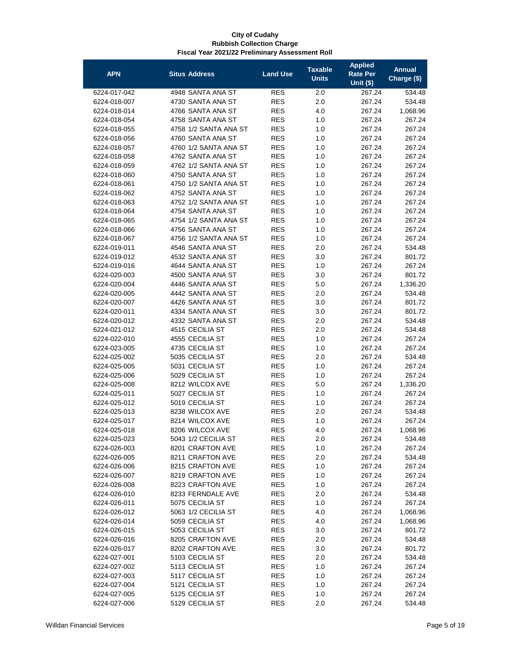| <b>APN</b>   | <b>Situs Address</b>  | <b>Land Use</b> | <b>Taxable</b><br><b>Units</b> | <b>Applied</b><br>Rate Per | <b>Annual</b><br>Charge (\$) |
|--------------|-----------------------|-----------------|--------------------------------|----------------------------|------------------------------|
|              |                       |                 |                                | <b>Unit (\$)</b>           |                              |
| 6224-017-042 | 4948 SANTA ANA ST     | <b>RES</b>      | 2.0                            | 267.24                     | 534.48                       |
| 6224-018-007 | 4730 SANTA ANA ST     | <b>RES</b>      | 2.0                            | 267.24                     | 534.48                       |
| 6224-018-014 | 4766 SANTA ANA ST     | <b>RES</b>      | 4.0                            | 267.24                     | 1,068.96                     |
| 6224-018-054 | 4758 SANTA ANA ST     | <b>RES</b>      | 1.0                            | 267.24                     | 267.24                       |
| 6224-018-055 | 4758 1/2 SANTA ANA ST | <b>RES</b>      | 1.0                            | 267.24                     | 267.24                       |
| 6224-018-056 | 4760 SANTA ANA ST     | <b>RES</b>      | 1.0                            | 267.24                     | 267.24                       |
| 6224-018-057 | 4760 1/2 SANTA ANA ST | <b>RES</b>      | 1.0                            | 267.24                     | 267.24                       |
| 6224-018-058 | 4762 SANTA ANA ST     | <b>RES</b>      | 1.0                            | 267.24                     | 267.24                       |
| 6224-018-059 | 4762 1/2 SANTA ANA ST | <b>RES</b>      | 1.0                            | 267.24                     | 267.24                       |
| 6224-018-060 | 4750 SANTA ANA ST     | <b>RES</b>      | 1.0                            | 267.24                     | 267.24                       |
| 6224-018-061 | 4750 1/2 SANTA ANA ST | <b>RES</b>      | 1.0                            | 267.24                     | 267.24                       |
| 6224-018-062 | 4752 SANTA ANA ST     | <b>RES</b>      | 1.0                            | 267.24                     | 267.24                       |
| 6224-018-063 | 4752 1/2 SANTA ANA ST | <b>RES</b>      | 1.0                            | 267.24                     | 267.24                       |
| 6224-018-064 | 4754 SANTA ANA ST     | <b>RES</b>      | 1.0                            | 267.24                     | 267.24                       |
| 6224-018-065 | 4754 1/2 SANTA ANA ST | <b>RES</b>      | 1.0                            | 267.24                     | 267.24                       |
| 6224-018-066 | 4756 SANTA ANA ST     | <b>RES</b>      | 1.0                            | 267.24                     | 267.24                       |
| 6224-018-067 | 4756 1/2 SANTA ANA ST | <b>RES</b>      | 1.0                            | 267.24                     | 267.24                       |
| 6224-019-011 | 4546 SANTA ANA ST     | <b>RES</b>      | 2.0                            | 267.24                     | 534.48                       |
| 6224-019-012 | 4532 SANTA ANA ST     | <b>RES</b>      | 3.0                            | 267.24                     | 801.72                       |
| 6224-019-016 | 4644 SANTA ANA ST     | <b>RES</b>      | 1.0                            | 267.24                     | 267.24                       |
| 6224-020-003 | 4500 SANTA ANA ST     | <b>RES</b>      | 3.0                            | 267.24                     | 801.72                       |
| 6224-020-004 | 4446 SANTA ANA ST     | <b>RES</b>      | 5.0                            | 267.24                     | 1,336.20                     |
| 6224-020-005 | 4442 SANTA ANA ST     | <b>RES</b>      | 2.0                            | 267.24                     | 534.48                       |
| 6224-020-007 | 4426 SANTA ANA ST     | <b>RES</b>      | 3.0                            | 267.24                     | 801.72                       |
| 6224-020-011 | 4334 SANTA ANA ST     | <b>RES</b>      | 3.0                            | 267.24                     | 801.72                       |
| 6224-020-012 | 4332 SANTA ANA ST     | <b>RES</b>      | 2.0                            | 267.24                     | 534.48                       |
| 6224-021-012 | 4515 CECILIA ST       | <b>RES</b>      | 2.0                            | 267.24                     | 534.48                       |
| 6224-022-010 | 4555 CECILIA ST       | <b>RES</b>      | 1.0                            | 267.24                     | 267.24                       |
| 6224-023-005 | 4735 CECILIA ST       | <b>RES</b>      | 1.0                            | 267.24                     | 267.24                       |
| 6224-025-002 | 5035 CECILIA ST       | <b>RES</b>      | 2.0                            | 267.24                     | 534.48                       |
| 6224-025-005 | 5031 CECILIA ST       | <b>RES</b>      | 1.0                            | 267.24                     | 267.24                       |
| 6224-025-006 | 5029 CECILIA ST       | <b>RES</b>      | 1.0                            | 267.24                     | 267.24                       |
| 6224-025-008 | 8212 WILCOX AVE       | <b>RES</b>      | 5.0                            | 267.24                     | 1,336.20                     |
| 6224-025-011 | 5027 CECILIA ST       | <b>RES</b>      | 1.0                            | 267.24                     | 267.24                       |
| 6224-025-012 | 5019 CECILIA ST       | <b>RES</b>      | 1.0                            | 267.24                     | 267.24                       |
| 6224-025-013 | 8238 WILCOX AVE       | <b>RES</b>      | 2.0                            | 267.24                     | 534.48                       |
| 6224-025-017 | 8214 WILCOX AVE       | <b>RES</b>      | 1.0                            | 267.24                     | 267.24                       |
| 6224-025-018 | 8206 WILCOX AVE       | <b>RES</b>      | 4.0                            | 267.24                     | 1,068.96                     |
| 6224-025-023 | 5043 1/2 CECILIA ST   | <b>RES</b>      | 2.0                            | 267.24                     | 534.48                       |
| 6224-026-003 | 8201 CRAFTON AVE      | <b>RES</b>      | 1.0                            | 267.24                     | 267.24                       |
| 6224-026-005 | 8211 CRAFTON AVE      | <b>RES</b>      | 2.0                            | 267.24                     | 534.48                       |
| 6224-026-006 | 8215 CRAFTON AVE      | <b>RES</b>      | 1.0                            | 267.24                     | 267.24                       |
| 6224-026-007 | 8219 CRAFTON AVE      | <b>RES</b>      | 1.0                            | 267.24                     | 267.24                       |
| 6224-026-008 | 8223 CRAFTON AVE      | <b>RES</b>      | 1.0                            | 267.24                     | 267.24                       |
| 6224-026-010 | 8233 FERNDALE AVE     | <b>RES</b>      | 2.0                            | 267.24                     | 534.48                       |
| 6224-026-011 | 5075 CECILIA ST       | <b>RES</b>      | 1.0                            | 267.24                     | 267.24                       |
| 6224-026-012 | 5063 1/2 CECILIA ST   | <b>RES</b>      | 4.0                            | 267.24                     | 1,068.96                     |
| 6224-026-014 | 5059 CECILIA ST       | <b>RES</b>      | 4.0                            | 267.24                     | 1,068.96                     |
| 6224-026-015 | 5053 CECILIA ST       | <b>RES</b>      | 3.0                            | 267.24                     | 801.72                       |
| 6224-026-016 | 8205 CRAFTON AVE      | <b>RES</b>      | 2.0                            | 267.24                     | 534.48                       |
| 6224-026-017 | 8202 CRAFTON AVE      | <b>RES</b>      | 3.0                            | 267.24                     | 801.72                       |
| 6224-027-001 | 5103 CECILIA ST       | <b>RES</b>      | 2.0                            | 267.24                     | 534.48                       |
| 6224-027-002 | 5113 CECILIA ST       | <b>RES</b>      | 1.0                            | 267.24                     | 267.24                       |
| 6224-027-003 | 5117 CECILIA ST       | <b>RES</b>      | 1.0                            | 267.24                     | 267.24                       |
| 6224-027-004 | 5121 CECILIA ST       | <b>RES</b>      | 1.0                            | 267.24                     | 267.24                       |
| 6224-027-005 | 5125 CECILIA ST       | <b>RES</b>      | 1.0                            | 267.24                     | 267.24                       |
| 6224-027-006 | 5129 CECILIA ST       | <b>RES</b>      | 2.0                            | 267.24                     | 534.48                       |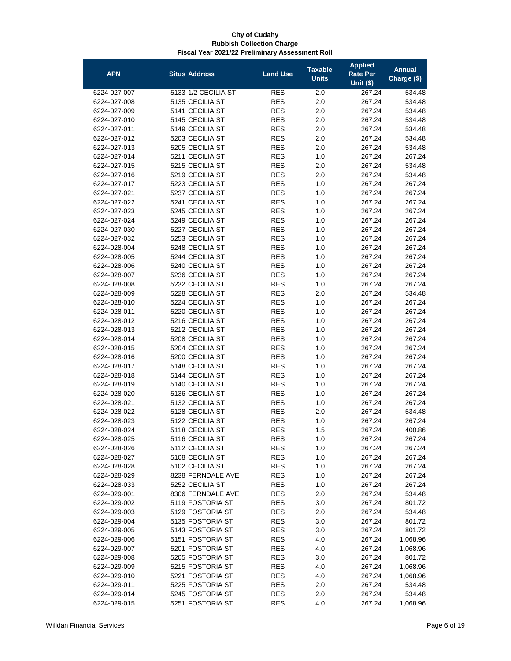| <b>APN</b>                   | <b>Situs Address</b>               | <b>Land Use</b>          | <b>Taxable</b><br><b>Units</b> | <b>Applied</b><br>Rate Per<br><b>Unit (\$)</b> | <b>Annual</b><br>Charge (\$) |
|------------------------------|------------------------------------|--------------------------|--------------------------------|------------------------------------------------|------------------------------|
| 6224-027-007                 | 5133 1/2 CECILIA ST                | <b>RES</b>               | 2.0                            | 267.24                                         | 534.48                       |
| 6224-027-008                 | 5135 CECILIA ST                    | <b>RES</b>               | 2.0                            | 267.24                                         | 534.48                       |
| 6224-027-009                 | 5141 CECILIA ST                    | <b>RES</b>               | 2.0                            | 267.24                                         | 534.48                       |
| 6224-027-010                 | 5145 CECILIA ST                    | <b>RES</b>               | 2.0                            | 267.24                                         | 534.48                       |
| 6224-027-011                 | 5149 CECILIA ST                    | <b>RES</b>               | 2.0                            | 267.24                                         | 534.48                       |
| 6224-027-012                 | 5203 CECILIA ST                    | <b>RES</b>               | 2.0                            | 267.24                                         | 534.48                       |
| 6224-027-013                 | 5205 CECILIA ST                    | <b>RES</b>               | 2.0                            | 267.24                                         | 534.48                       |
| 6224-027-014                 | 5211 CECILIA ST                    | <b>RES</b>               | 1.0                            | 267.24                                         | 267.24                       |
| 6224-027-015                 | 5215 CECILIA ST                    | <b>RES</b>               | 2.0                            | 267.24                                         | 534.48                       |
| 6224-027-016                 | 5219 CECILIA ST                    | <b>RES</b>               | 2.0                            | 267.24                                         | 534.48                       |
| 6224-027-017                 | 5223 CECILIA ST                    | <b>RES</b>               | 1.0                            | 267.24                                         | 267.24                       |
| 6224-027-021                 | 5237 CECILIA ST                    | <b>RES</b>               | 1.0                            | 267.24                                         | 267.24                       |
| 6224-027-022                 | 5241 CECILIA ST                    | <b>RES</b>               | 1.0                            | 267.24                                         | 267.24                       |
| 6224-027-023                 | 5245 CECILIA ST                    | <b>RES</b>               | 1.0                            | 267.24                                         | 267.24                       |
| 6224-027-024                 | 5249 CECILIA ST                    | <b>RES</b>               | 1.0                            | 267.24                                         | 267.24                       |
| 6224-027-030                 | 5227 CECILIA ST                    | <b>RES</b>               | 1.0                            | 267.24                                         | 267.24                       |
| 6224-027-032                 | 5253 CECILIA ST                    | <b>RES</b>               | 1.0                            | 267.24                                         | 267.24                       |
| 6224-028-004                 | 5248 CECILIA ST                    | <b>RES</b>               | 1.0                            | 267.24                                         | 267.24                       |
| 6224-028-005                 | 5244 CECILIA ST                    | <b>RES</b>               | 1.0                            | 267.24                                         | 267.24                       |
| 6224-028-006<br>6224-028-007 | 5240 CECILIA ST<br>5236 CECILIA ST | <b>RES</b><br><b>RES</b> | 1.0<br>1.0                     | 267.24                                         | 267.24<br>267.24             |
| 6224-028-008                 | 5232 CECILIA ST                    | <b>RES</b>               | 1.0                            | 267.24<br>267.24                               | 267.24                       |
| 6224-028-009                 | 5228 CECILIA ST                    | <b>RES</b>               | 2.0                            | 267.24                                         | 534.48                       |
| 6224-028-010                 | 5224 CECILIA ST                    | <b>RES</b>               | 1.0                            | 267.24                                         | 267.24                       |
| 6224-028-011                 | 5220 CECILIA ST                    | <b>RES</b>               | 1.0                            | 267.24                                         | 267.24                       |
| 6224-028-012                 | 5216 CECILIA ST                    | <b>RES</b>               | 1.0                            | 267.24                                         | 267.24                       |
| 6224-028-013                 | 5212 CECILIA ST                    | <b>RES</b>               | 1.0                            | 267.24                                         | 267.24                       |
| 6224-028-014                 | 5208 CECILIA ST                    | <b>RES</b>               | 1.0                            | 267.24                                         | 267.24                       |
| 6224-028-015                 | 5204 CECILIA ST                    | <b>RES</b>               | 1.0                            | 267.24                                         | 267.24                       |
| 6224-028-016                 | 5200 CECILIA ST                    | <b>RES</b>               | 1.0                            | 267.24                                         | 267.24                       |
| 6224-028-017                 | 5148 CECILIA ST                    | <b>RES</b>               | 1.0                            | 267.24                                         | 267.24                       |
| 6224-028-018                 | 5144 CECILIA ST                    | <b>RES</b>               | 1.0                            | 267.24                                         | 267.24                       |
| 6224-028-019                 | 5140 CECILIA ST                    | <b>RES</b>               | 1.0                            | 267.24                                         | 267.24                       |
| 6224-028-020                 | 5136 CECILIA ST                    | <b>RES</b>               | 1.0                            | 267.24                                         | 267.24                       |
| 6224-028-021                 | 5132 CECILIA ST                    | <b>RES</b>               | 1.0                            | 267.24                                         | 267.24                       |
| 6224-028-022                 | 5128 CECILIA ST                    | <b>RES</b>               | 2.0                            | 267.24                                         | 534.48                       |
| 6224-028-023                 | 5122 CECILIA ST                    | <b>RES</b>               | 1.0                            | 267.24                                         | 267.24                       |
| 6224-028-024                 | 5118 CECILIA ST                    | <b>RES</b>               | 1.5                            | 267.24                                         | 400.86                       |
| 6224-028-025                 | 5116 CECILIA ST                    | <b>RES</b>               | 1.0                            | 267.24                                         | 267.24                       |
| 6224-028-026                 | 5112 CECILIA ST                    | <b>RES</b>               | 1.0                            | 267.24                                         | 267.24                       |
| 6224-028-027                 | 5108 CECILIA ST<br>5102 CECILIA ST | <b>RES</b><br><b>RES</b> | 1.0                            | 267.24<br>267.24                               | 267.24                       |
| 6224-028-028<br>6224-028-029 | 8238 FERNDALE AVE                  | <b>RES</b>               | 1.0<br>1.0                     | 267.24                                         | 267.24<br>267.24             |
| 6224-028-033                 | 5252 CECILIA ST                    | <b>RES</b>               | 1.0                            | 267.24                                         | 267.24                       |
| 6224-029-001                 | 8306 FERNDALE AVE                  | <b>RES</b>               | 2.0                            | 267.24                                         | 534.48                       |
| 6224-029-002                 | 5119 FOSTORIA ST                   | <b>RES</b>               | 3.0                            | 267.24                                         | 801.72                       |
| 6224-029-003                 | 5129 FOSTORIA ST                   | <b>RES</b>               | 2.0                            | 267.24                                         | 534.48                       |
| 6224-029-004                 | 5135 FOSTORIA ST                   | <b>RES</b>               | 3.0                            | 267.24                                         | 801.72                       |
| 6224-029-005                 | 5143 FOSTORIA ST                   | <b>RES</b>               | 3.0                            | 267.24                                         | 801.72                       |
| 6224-029-006                 | 5151 FOSTORIA ST                   | <b>RES</b>               | 4.0                            | 267.24                                         | 1,068.96                     |
| 6224-029-007                 | 5201 FOSTORIA ST                   | <b>RES</b>               | 4.0                            | 267.24                                         | 1,068.96                     |
| 6224-029-008                 | 5205 FOSTORIA ST                   | <b>RES</b>               | 3.0                            | 267.24                                         | 801.72                       |
| 6224-029-009                 | 5215 FOSTORIA ST                   | <b>RES</b>               | 4.0                            | 267.24                                         | 1,068.96                     |
| 6224-029-010                 | 5221 FOSTORIA ST                   | <b>RES</b>               | 4.0                            | 267.24                                         | 1,068.96                     |
| 6224-029-011                 | 5225 FOSTORIA ST                   | <b>RES</b>               | 2.0                            | 267.24                                         | 534.48                       |
| 6224-029-014                 | 5245 FOSTORIA ST                   | <b>RES</b>               | 2.0                            | 267.24                                         | 534.48                       |
| 6224-029-015                 | 5251 FOSTORIA ST                   | <b>RES</b>               | 4.0                            | 267.24                                         | 1,068.96                     |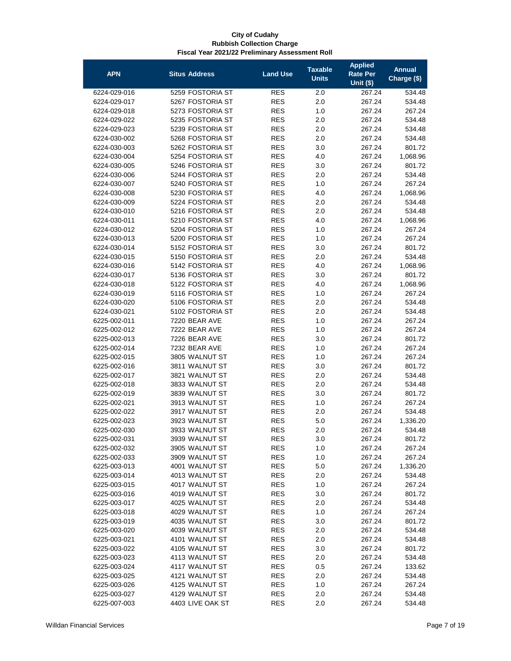| <b>APN</b>   | <b>Situs Address</b> | <b>Land Use</b> | <b>Taxable</b><br><b>Units</b> | <b>Applied</b><br>Rate Per | <b>Annual</b><br>Charge (\$) |
|--------------|----------------------|-----------------|--------------------------------|----------------------------|------------------------------|
|              |                      |                 |                                | <b>Unit (\$)</b>           |                              |
| 6224-029-016 | 5259 FOSTORIA ST     | <b>RES</b>      | 2.0                            | 267.24                     | 534.48                       |
| 6224-029-017 | 5267 FOSTORIA ST     | RES             | 2.0                            | 267.24                     | 534.48                       |
| 6224-029-018 | 5273 FOSTORIA ST     | <b>RES</b>      | 1.0                            | 267.24                     | 267.24                       |
| 6224-029-022 | 5235 FOSTORIA ST     | <b>RES</b>      | 2.0                            | 267.24                     | 534.48                       |
| 6224-029-023 | 5239 FOSTORIA ST     | <b>RES</b>      | 2.0                            | 267.24                     | 534.48                       |
| 6224-030-002 | 5268 FOSTORIA ST     | <b>RES</b>      | 2.0                            | 267.24                     | 534.48                       |
| 6224-030-003 | 5262 FOSTORIA ST     | <b>RES</b>      | 3.0                            | 267.24                     | 801.72                       |
| 6224-030-004 | 5254 FOSTORIA ST     | <b>RES</b>      | 4.0                            | 267.24                     | 1,068.96                     |
| 6224-030-005 | 5246 FOSTORIA ST     | <b>RES</b>      | 3.0                            | 267.24                     | 801.72                       |
| 6224-030-006 | 5244 FOSTORIA ST     | <b>RES</b>      | 2.0                            | 267.24                     | 534.48                       |
| 6224-030-007 | 5240 FOSTORIA ST     | <b>RES</b>      | 1.0                            | 267.24                     | 267.24                       |
| 6224-030-008 | 5230 FOSTORIA ST     | <b>RES</b>      | 4.0                            | 267.24                     | 1,068.96                     |
| 6224-030-009 | 5224 FOSTORIA ST     | <b>RES</b>      | 2.0                            | 267.24                     | 534.48                       |
| 6224-030-010 | 5216 FOSTORIA ST     | <b>RES</b>      | 2.0                            | 267.24                     | 534.48                       |
| 6224-030-011 | 5210 FOSTORIA ST     | <b>RES</b>      | 4.0                            | 267.24                     | 1,068.96                     |
| 6224-030-012 | 5204 FOSTORIA ST     | <b>RES</b>      | 1.0                            | 267.24                     | 267.24                       |
| 6224-030-013 | 5200 FOSTORIA ST     | <b>RES</b>      | 1.0                            | 267.24                     | 267.24                       |
| 6224-030-014 | 5152 FOSTORIA ST     | <b>RES</b>      | 3.0                            | 267.24                     | 801.72                       |
| 6224-030-015 | 5150 FOSTORIA ST     | <b>RES</b>      | 2.0                            | 267.24                     | 534.48                       |
| 6224-030-016 | 5142 FOSTORIA ST     | <b>RES</b>      | 4.0                            | 267.24                     | 1,068.96                     |
| 6224-030-017 | 5136 FOSTORIA ST     | <b>RES</b>      | 3.0                            | 267.24                     | 801.72                       |
| 6224-030-018 | 5122 FOSTORIA ST     | <b>RES</b>      | 4.0                            | 267.24                     | 1,068.96                     |
| 6224-030-019 | 5116 FOSTORIA ST     | <b>RES</b>      | 1.0                            | 267.24                     | 267.24                       |
| 6224-030-020 | 5106 FOSTORIA ST     | <b>RES</b>      | 2.0                            | 267.24                     | 534.48                       |
| 6224-030-021 | 5102 FOSTORIA ST     | <b>RES</b>      | 2.0                            | 267.24                     | 534.48                       |
| 6225-002-011 | 7220 BEAR AVE        | <b>RES</b>      | 1.0                            | 267.24                     | 267.24                       |
| 6225-002-012 | 7222 BEAR AVE        | <b>RES</b>      | 1.0                            | 267.24                     | 267.24                       |
| 6225-002-013 | 7226 BEAR AVE        | <b>RES</b>      | 3.0                            | 267.24                     | 801.72                       |
| 6225-002-014 | 7232 BEAR AVE        | <b>RES</b>      | 1.0                            | 267.24                     | 267.24                       |
| 6225-002-015 | 3805 WALNUT ST       | <b>RES</b>      | 1.0                            | 267.24                     | 267.24                       |
| 6225-002-016 | 3811 WALNUT ST       | <b>RES</b>      | 3.0                            | 267.24                     | 801.72                       |
| 6225-002-017 | 3821 WALNUT ST       | <b>RES</b>      | 2.0                            | 267.24                     | 534.48                       |
| 6225-002-018 | 3833 WALNUT ST       | <b>RES</b>      | 2.0                            | 267.24                     | 534.48                       |
| 6225-002-019 | 3839 WALNUT ST       | <b>RES</b>      | 3.0                            | 267.24                     | 801.72                       |
| 6225-002-021 | 3913 WALNUT ST       | <b>RES</b>      | 1.0                            | 267.24                     | 267.24                       |
| 6225-002-022 | 3917 WALNUT ST       | <b>RES</b>      | 2.0                            | 267.24                     | 534.48                       |
| 6225-002-023 | 3923 WALNUT ST       | <b>RES</b>      | 5.0                            | 267.24                     | 1,336.20                     |
| 6225-002-030 | 3933 WALNUT ST       | <b>RES</b>      | 2.0                            | 267.24                     | 534.48                       |
| 6225-002-031 | 3939 WALNUT ST       | <b>RES</b>      | 3.0                            | 267.24                     | 801.72                       |
| 6225-002-032 | 3905 WALNUT ST       | <b>RES</b>      | 1.0                            | 267.24                     | 267.24                       |
| 6225-002-033 | 3909 WALNUT ST       | <b>RES</b>      | 1.0                            | 267.24                     | 267.24                       |
| 6225-003-013 | 4001 WALNUT ST       | <b>RES</b>      | 5.0                            | 267.24                     | 1,336.20                     |
| 6225-003-014 | 4013 WALNUT ST       | <b>RES</b>      | 2.0                            | 267.24                     | 534.48                       |
| 6225-003-015 | 4017 WALNUT ST       | <b>RES</b>      | 1.0                            | 267.24                     | 267.24                       |
| 6225-003-016 | 4019 WALNUT ST       | <b>RES</b>      | 3.0                            | 267.24                     | 801.72                       |
| 6225-003-017 | 4025 WALNUT ST       | <b>RES</b>      | 2.0                            | 267.24                     | 534.48                       |
| 6225-003-018 | 4029 WALNUT ST       | <b>RES</b>      | 1.0                            | 267.24                     | 267.24                       |
| 6225-003-019 | 4035 WALNUT ST       | <b>RES</b>      | 3.0                            | 267.24                     | 801.72                       |
| 6225-003-020 | 4039 WALNUT ST       | <b>RES</b>      | 2.0                            | 267.24                     | 534.48                       |
| 6225-003-021 | 4101 WALNUT ST       | <b>RES</b>      | 2.0                            | 267.24                     | 534.48                       |
| 6225-003-022 | 4105 WALNUT ST       | <b>RES</b>      | 3.0                            | 267.24                     | 801.72                       |
| 6225-003-023 | 4113 WALNUT ST       | <b>RES</b>      | 2.0                            | 267.24                     | 534.48                       |
| 6225-003-024 | 4117 WALNUT ST       | <b>RES</b>      | 0.5                            | 267.24                     | 133.62                       |
| 6225-003-025 | 4121 WALNUT ST       | <b>RES</b>      | 2.0                            | 267.24                     | 534.48                       |
| 6225-003-026 | 4125 WALNUT ST       | <b>RES</b>      | 1.0                            | 267.24                     | 267.24                       |
| 6225-003-027 | 4129 WALNUT ST       | <b>RES</b>      | 2.0                            | 267.24                     | 534.48                       |
| 6225-007-003 | 4403 LIVE OAK ST     | <b>RES</b>      | 2.0                            | 267.24                     | 534.48                       |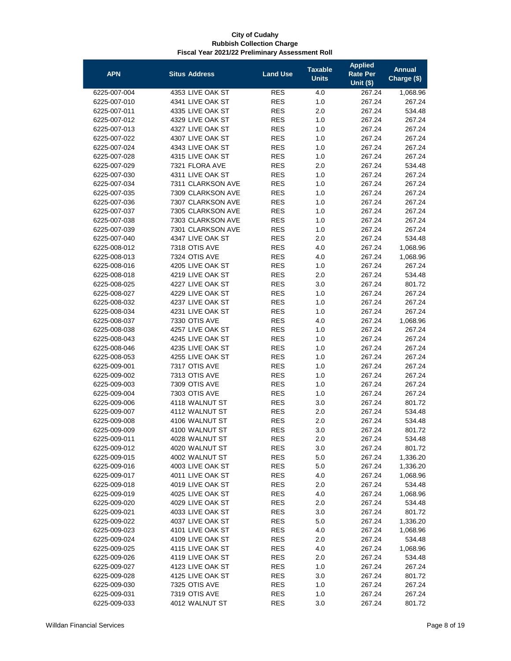| <b>APN</b>   | <b>Situs Address</b> | <b>Land Use</b>          | <b>Taxable</b><br><b>Units</b> | <b>Applied</b><br><b>Rate Per</b><br>Unit $($)$ | <b>Annual</b><br>Charge (\$) |
|--------------|----------------------|--------------------------|--------------------------------|-------------------------------------------------|------------------------------|
| 6225-007-004 | 4353 LIVE OAK ST     | <b>RES</b>               | 4.0                            | 267.24                                          | 1,068.96                     |
| 6225-007-010 | 4341 LIVE OAK ST     | <b>RES</b>               | 1.0                            | 267.24                                          | 267.24                       |
| 6225-007-011 | 4335 LIVE OAK ST     | <b>RES</b>               | 2.0                            | 267.24                                          | 534.48                       |
| 6225-007-012 | 4329 LIVE OAK ST     | <b>RES</b>               | 1.0                            | 267.24                                          | 267.24                       |
| 6225-007-013 | 4327 LIVE OAK ST     | <b>RES</b>               | 1.0                            | 267.24                                          | 267.24                       |
| 6225-007-022 | 4307 LIVE OAK ST     | <b>RES</b>               | 1.0                            | 267.24                                          | 267.24                       |
| 6225-007-024 | 4343 LIVE OAK ST     | <b>RES</b>               | 1.0                            | 267.24                                          | 267.24                       |
| 6225-007-028 | 4315 LIVE OAK ST     | <b>RES</b>               | 1.0                            | 267.24                                          | 267.24                       |
| 6225-007-029 | 7321 FLORA AVE       | <b>RES</b>               | 2.0                            | 267.24                                          | 534.48                       |
| 6225-007-030 | 4311 LIVE OAK ST     | <b>RES</b>               | 1.0                            | 267.24                                          | 267.24                       |
| 6225-007-034 | 7311 CLARKSON AVE    | <b>RES</b>               | 1.0                            | 267.24                                          | 267.24                       |
| 6225-007-035 | 7309 CLARKSON AVE    | <b>RES</b>               | 1.0                            | 267.24                                          | 267.24                       |
| 6225-007-036 | 7307 CLARKSON AVE    | <b>RES</b>               | 1.0                            | 267.24                                          | 267.24                       |
| 6225-007-037 | 7305 CLARKSON AVE    | <b>RES</b>               | 1.0                            | 267.24                                          | 267.24                       |
| 6225-007-038 | 7303 CLARKSON AVE    | <b>RES</b>               | 1.0                            | 267.24                                          | 267.24                       |
| 6225-007-039 | 7301 CLARKSON AVE    | <b>RES</b>               | 1.0                            | 267.24                                          | 267.24                       |
| 6225-007-040 | 4347 LIVE OAK ST     | <b>RES</b>               | 2.0                            | 267.24                                          | 534.48                       |
| 6225-008-012 | 7318 OTIS AVE        | <b>RES</b>               | 4.0                            | 267.24                                          | 1,068.96                     |
| 6225-008-013 | 7324 OTIS AVE        | <b>RES</b>               | 4.0                            | 267.24                                          | 1,068.96                     |
| 6225-008-016 | 4205 LIVE OAK ST     | <b>RES</b>               | 1.0                            | 267.24                                          | 267.24                       |
| 6225-008-018 | 4219 LIVE OAK ST     | <b>RES</b>               | 2.0                            | 267.24                                          | 534.48                       |
| 6225-008-025 | 4227 LIVE OAK ST     | <b>RES</b>               | 3.0                            | 267.24                                          | 801.72                       |
| 6225-008-027 | 4229 LIVE OAK ST     | <b>RES</b>               | 1.0                            | 267.24                                          | 267.24                       |
| 6225-008-032 | 4237 LIVE OAK ST     | <b>RES</b>               | 1.0                            | 267.24                                          | 267.24                       |
| 6225-008-034 | 4231 LIVE OAK ST     | <b>RES</b>               | 1.0                            | 267.24                                          | 267.24                       |
| 6225-008-037 | 7330 OTIS AVE        | <b>RES</b>               | 4.0                            | 267.24                                          | 1,068.96                     |
| 6225-008-038 | 4257 LIVE OAK ST     | <b>RES</b>               | 1.0                            | 267.24                                          | 267.24                       |
| 6225-008-043 | 4245 LIVE OAK ST     | <b>RES</b>               | 1.0                            | 267.24                                          | 267.24                       |
| 6225-008-046 | 4235 LIVE OAK ST     | <b>RES</b>               | 1.0                            | 267.24                                          | 267.24                       |
| 6225-008-053 | 4255 LIVE OAK ST     | <b>RES</b>               | 1.0                            | 267.24                                          | 267.24                       |
| 6225-009-001 | 7317 OTIS AVE        | <b>RES</b>               | 1.0                            | 267.24                                          | 267.24                       |
| 6225-009-002 | 7313 OTIS AVE        | <b>RES</b>               | 1.0                            | 267.24                                          | 267.24                       |
| 6225-009-003 | 7309 OTIS AVE        | <b>RES</b>               | 1.0                            | 267.24                                          | 267.24                       |
| 6225-009-004 | 7303 OTIS AVE        | <b>RES</b>               | 1.0                            | 267.24                                          | 267.24                       |
| 6225-009-006 | 4118 WALNUT ST       | <b>RES</b>               | 3.0                            | 267.24                                          | 801.72                       |
| 6225-009-007 | 4112 WALNUT ST       | <b>RES</b>               | 2.0                            | 267.24                                          | 534.48                       |
| 6225-009-008 | 4106 WALNUT ST       | <b>RES</b>               | 2.0                            | 267.24                                          | 534.48                       |
| 6225-009-009 | 4100 WALNUT ST       | <b>RES</b>               | 3.0                            | 267.24                                          | 801.72                       |
| 6225-009-011 | 4028 WALNUT ST       | <b>RES</b>               | 2.0                            | 267.24                                          | 534.48                       |
| 6225-009-012 | 4020 WALNUT ST       | <b>RES</b>               | 3.0                            | 267.24                                          | 801.72                       |
| 6225-009-015 | 4002 WALNUT ST       | <b>RES</b>               | 5.0                            | 267.24                                          | 1,336.20                     |
| 6225-009-016 | 4003 LIVE OAK ST     | <b>RES</b>               | 5.0                            | 267.24                                          | 1,336.20                     |
| 6225-009-017 | 4011 LIVE OAK ST     | <b>RES</b>               | 4.0                            | 267.24                                          | 1,068.96                     |
| 6225-009-018 | 4019 LIVE OAK ST     | RES                      | 2.0                            | 267.24                                          | 534.48                       |
| 6225-009-019 | 4025 LIVE OAK ST     | <b>RES</b>               | 4.0                            | 267.24                                          | 1,068.96                     |
| 6225-009-020 | 4029 LIVE OAK ST     | <b>RES</b>               | 2.0                            | 267.24                                          | 534.48                       |
| 6225-009-021 | 4033 LIVE OAK ST     | <b>RES</b>               | 3.0                            | 267.24                                          | 801.72                       |
| 6225-009-022 | 4037 LIVE OAK ST     | <b>RES</b>               | 5.0                            | 267.24                                          | 1,336.20                     |
| 6225-009-023 | 4101 LIVE OAK ST     | <b>RES</b>               | 4.0                            | 267.24                                          | 1,068.96                     |
| 6225-009-024 | 4109 LIVE OAK ST     | <b>RES</b>               | 2.0                            | 267.24                                          | 534.48                       |
| 6225-009-025 | 4115 LIVE OAK ST     | <b>RES</b>               | 4.0                            | 267.24                                          | 1,068.96                     |
| 6225-009-026 | 4119 LIVE OAK ST     | <b>RES</b>               | 2.0                            | 267.24                                          | 534.48                       |
| 6225-009-027 | 4123 LIVE OAK ST     | <b>RES</b>               | 1.0                            | 267.24                                          | 267.24                       |
| 6225-009-028 | 4125 LIVE OAK ST     | <b>RES</b>               | 3.0                            | 267.24                                          | 801.72                       |
| 6225-009-030 | 7325 OTIS AVE        | <b>RES</b>               | 1.0                            | 267.24                                          | 267.24                       |
| 6225-009-031 | 7319 OTIS AVE        |                          |                                |                                                 | 267.24                       |
| 6225-009-033 | 4012 WALNUT ST       | <b>RES</b><br><b>RES</b> | 1.0<br>3.0                     | 267.24<br>267.24                                | 801.72                       |
|              |                      |                          |                                |                                                 |                              |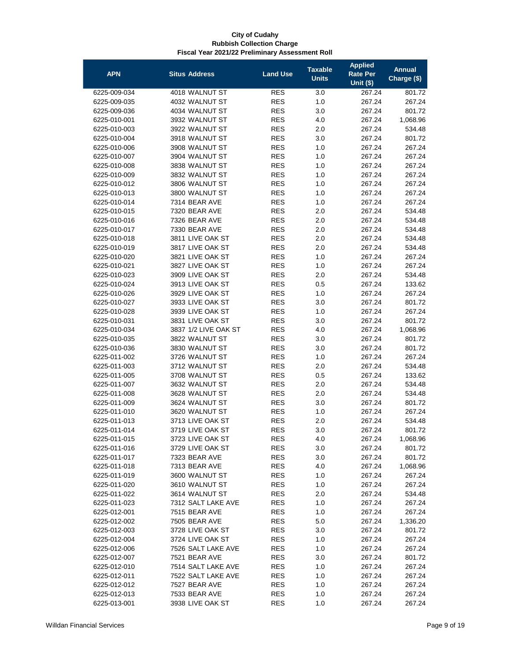| <b>APN</b>   | <b>Situs Address</b> | <b>Land Use</b> | <b>Taxable</b><br><b>Units</b> | <b>Applied</b><br><b>Rate Per</b> | <b>Annual</b><br>Charge (\$) |
|--------------|----------------------|-----------------|--------------------------------|-----------------------------------|------------------------------|
|              |                      |                 |                                | <b>Unit (\$)</b>                  |                              |
| 6225-009-034 | 4018 WALNUT ST       | <b>RES</b>      | 3.0                            | 267.24                            | 801.72                       |
| 6225-009-035 | 4032 WALNUT ST       | <b>RES</b>      | 1.0                            | 267.24                            | 267.24                       |
| 6225-009-036 | 4034 WALNUT ST       | <b>RES</b>      | 3.0                            | 267.24                            | 801.72                       |
| 6225-010-001 | 3932 WALNUT ST       | <b>RES</b>      | 4.0                            | 267.24                            | 1,068.96                     |
| 6225-010-003 | 3922 WALNUT ST       | <b>RES</b>      | 2.0                            | 267.24                            | 534.48                       |
| 6225-010-004 | 3918 WALNUT ST       | <b>RES</b>      | 3.0                            | 267.24                            | 801.72                       |
| 6225-010-006 | 3908 WALNUT ST       | <b>RES</b>      | 1.0                            | 267.24                            | 267.24                       |
| 6225-010-007 | 3904 WALNUT ST       | <b>RES</b>      | 1.0                            | 267.24                            | 267.24                       |
| 6225-010-008 | 3838 WALNUT ST       | <b>RES</b>      | 1.0                            | 267.24                            | 267.24                       |
| 6225-010-009 | 3832 WALNUT ST       | <b>RES</b>      | 1.0                            | 267.24                            | 267.24                       |
| 6225-010-012 | 3806 WALNUT ST       | <b>RES</b>      | 1.0                            | 267.24                            | 267.24                       |
| 6225-010-013 | 3800 WALNUT ST       | <b>RES</b>      | 1.0                            | 267.24                            | 267.24                       |
| 6225-010-014 | 7314 BEAR AVE        | <b>RES</b>      | 1.0                            | 267.24                            | 267.24                       |
| 6225-010-015 | 7320 BEAR AVE        | <b>RES</b>      | 2.0                            | 267.24                            | 534.48                       |
| 6225-010-016 | 7326 BEAR AVE        | <b>RES</b>      | 2.0                            | 267.24                            | 534.48                       |
| 6225-010-017 | 7330 BEAR AVE        | <b>RES</b>      | 2.0                            | 267.24                            | 534.48                       |
| 6225-010-018 | 3811 LIVE OAK ST     | <b>RES</b>      | 2.0                            | 267.24                            | 534.48                       |
| 6225-010-019 | 3817 LIVE OAK ST     | <b>RES</b>      | 2.0                            | 267.24                            | 534.48                       |
| 6225-010-020 | 3821 LIVE OAK ST     | <b>RES</b>      | 1.0                            | 267.24                            | 267.24                       |
| 6225-010-021 | 3827 LIVE OAK ST     | <b>RES</b>      | 1.0                            | 267.24                            | 267.24                       |
| 6225-010-023 | 3909 LIVE OAK ST     | <b>RES</b>      | 2.0                            | 267.24                            | 534.48                       |
| 6225-010-024 | 3913 LIVE OAK ST     | <b>RES</b>      | 0.5                            | 267.24                            | 133.62                       |
| 6225-010-026 | 3929 LIVE OAK ST     | <b>RES</b>      | 1.0                            | 267.24                            | 267.24                       |
| 6225-010-027 | 3933 LIVE OAK ST     | <b>RES</b>      | 3.0                            | 267.24                            | 801.72                       |
| 6225-010-028 | 3939 LIVE OAK ST     | <b>RES</b>      | 1.0                            | 267.24                            | 267.24                       |
| 6225-010-031 | 3831 LIVE OAK ST     | <b>RES</b>      | 3.0                            | 267.24                            | 801.72                       |
| 6225-010-034 | 3837 1/2 LIVE OAK ST | <b>RES</b>      | 4.0                            | 267.24                            | 1,068.96                     |
| 6225-010-035 | 3822 WALNUT ST       | <b>RES</b>      | 3.0                            | 267.24                            | 801.72                       |
| 6225-010-036 | 3830 WALNUT ST       | <b>RES</b>      | 3.0                            | 267.24                            | 801.72                       |
| 6225-011-002 | 3726 WALNUT ST       | <b>RES</b>      | 1.0                            | 267.24                            | 267.24                       |
| 6225-011-003 | 3712 WALNUT ST       | <b>RES</b>      | 2.0                            | 267.24                            | 534.48                       |
| 6225-011-005 | 3708 WALNUT ST       | <b>RES</b>      | 0.5                            | 267.24                            | 133.62                       |
| 6225-011-007 | 3632 WALNUT ST       | <b>RES</b>      | 2.0                            | 267.24                            | 534.48                       |
| 6225-011-008 | 3628 WALNUT ST       | <b>RES</b>      | 2.0                            | 267.24                            | 534.48                       |
| 6225-011-009 | 3624 WALNUT ST       | <b>RES</b>      | 3.0                            | 267.24                            | 801.72                       |
| 6225-011-010 | 3620 WALNUT ST       | <b>RES</b>      | 1.0                            | 267.24                            | 267.24                       |
| 6225-011-013 | 3713 LIVE OAK ST     | <b>RES</b>      | 2.0                            | 267.24                            | 534.48                       |
| 6225-011-014 | 3719 LIVE OAK ST     | <b>RES</b>      | 3.0                            | 267.24                            | 801.72                       |
| 6225-011-015 | 3723 LIVE OAK ST     | <b>RES</b>      | 4.0                            | 267.24                            | 1,068.96                     |
| 6225-011-016 | 3729 LIVE OAK ST     | <b>RES</b>      | 3.0                            | 267.24                            | 801.72                       |
| 6225-011-017 | 7323 BEAR AVE        | <b>RES</b>      | 3.0                            | 267.24                            | 801.72                       |
| 6225-011-018 | 7313 BEAR AVE        | <b>RES</b>      | 4.0                            | 267.24                            | 1,068.96                     |
| 6225-011-019 | 3600 WALNUT ST       | <b>RES</b>      | 1.0                            | 267.24                            | 267.24                       |
| 6225-011-020 | 3610 WALNUT ST       | <b>RES</b>      | 1.0                            | 267.24                            | 267.24                       |
| 6225-011-022 | 3614 WALNUT ST       | <b>RES</b>      | 2.0                            | 267.24                            | 534.48                       |
| 6225-011-023 | 7312 SALT LAKE AVE   | <b>RES</b>      | 1.0                            | 267.24                            | 267.24                       |
| 6225-012-001 | 7515 BEAR AVE        | <b>RES</b>      | 1.0                            | 267.24                            | 267.24                       |
| 6225-012-002 | 7505 BEAR AVE        | <b>RES</b>      | 5.0                            | 267.24                            | 1,336.20                     |
| 6225-012-003 | 3728 LIVE OAK ST     | <b>RES</b>      | 3.0                            | 267.24                            | 801.72                       |
| 6225-012-004 | 3724 LIVE OAK ST     | <b>RES</b>      | 1.0                            | 267.24                            | 267.24                       |
| 6225-012-006 | 7526 SALT LAKE AVE   | <b>RES</b>      | 1.0                            | 267.24                            | 267.24                       |
| 6225-012-007 | 7521 BEAR AVE        | <b>RES</b>      | 3.0                            | 267.24                            | 801.72                       |
| 6225-012-010 | 7514 SALT LAKE AVE   | <b>RES</b>      | 1.0                            | 267.24                            | 267.24                       |
| 6225-012-011 | 7522 SALT LAKE AVE   | <b>RES</b>      | 1.0                            | 267.24                            | 267.24                       |
| 6225-012-012 | 7527 BEAR AVE        | <b>RES</b>      | 1.0                            | 267.24                            | 267.24                       |
| 6225-012-013 | 7533 BEAR AVE        | <b>RES</b>      | 1.0                            | 267.24                            | 267.24                       |
| 6225-013-001 | 3938 LIVE OAK ST     | <b>RES</b>      | 1.0                            | 267.24                            | 267.24                       |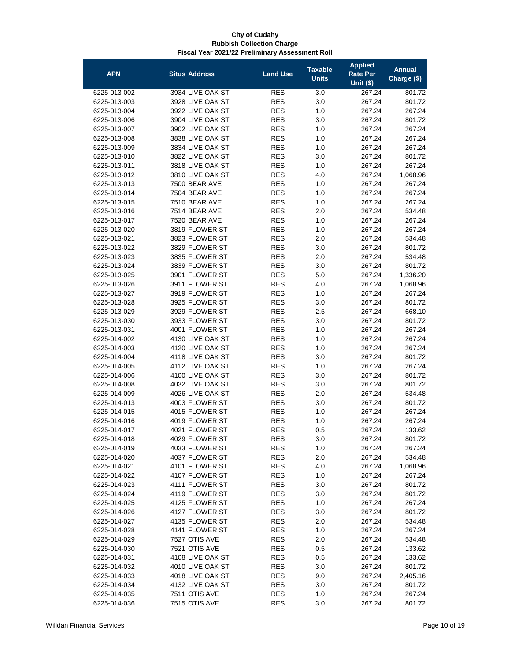| <b>APN</b>                   | <b>Situs Address</b>             | <b>Land Use</b>          | <b>Taxable</b><br><b>Units</b> | <b>Applied</b><br><b>Rate Per</b><br><b>Unit (\$)</b> | <b>Annual</b><br>Charge (\$) |
|------------------------------|----------------------------------|--------------------------|--------------------------------|-------------------------------------------------------|------------------------------|
| 6225-013-002                 | 3934 LIVE OAK ST                 | <b>RES</b>               | 3.0                            | 267.24                                                | 801.72                       |
| 6225-013-003                 | 3928 LIVE OAK ST                 | <b>RES</b>               | 3.0                            | 267.24                                                | 801.72                       |
| 6225-013-004                 | 3922 LIVE OAK ST                 | <b>RES</b>               | 1.0                            | 267.24                                                | 267.24                       |
| 6225-013-006                 | 3904 LIVE OAK ST                 | <b>RES</b>               | 3.0                            | 267.24                                                | 801.72                       |
| 6225-013-007                 | 3902 LIVE OAK ST                 | <b>RES</b>               | 1.0                            | 267.24                                                | 267.24                       |
| 6225-013-008                 | 3838 LIVE OAK ST                 | <b>RES</b>               | 1.0                            | 267.24                                                | 267.24                       |
| 6225-013-009                 | 3834 LIVE OAK ST                 | <b>RES</b>               | 1.0                            | 267.24                                                | 267.24                       |
| 6225-013-010                 | 3822 LIVE OAK ST                 | <b>RES</b>               | 3.0                            | 267.24                                                | 801.72                       |
| 6225-013-011                 | 3818 LIVE OAK ST                 | <b>RES</b>               | 1.0                            | 267.24                                                | 267.24                       |
| 6225-013-012                 | 3810 LIVE OAK ST                 | <b>RES</b>               | 4.0                            | 267.24                                                | 1,068.96                     |
| 6225-013-013                 | 7500 BEAR AVE                    | <b>RES</b>               | 1.0                            | 267.24                                                | 267.24                       |
| 6225-013-014                 | 7504 BEAR AVE                    | <b>RES</b>               | 1.0                            | 267.24                                                | 267.24                       |
| 6225-013-015                 | 7510 BEAR AVE                    | <b>RES</b>               | 1.0                            | 267.24                                                | 267.24                       |
| 6225-013-016                 | 7514 BEAR AVE                    | <b>RES</b>               | 2.0                            | 267.24                                                | 534.48                       |
| 6225-013-017                 | 7520 BEAR AVE                    | <b>RES</b>               | 1.0                            | 267.24                                                | 267.24                       |
| 6225-013-020                 | 3819 FLOWER ST                   | <b>RES</b>               | 1.0                            | 267.24                                                | 267.24                       |
| 6225-013-021                 | 3823 FLOWER ST                   | <b>RES</b>               | 2.0                            | 267.24                                                | 534.48                       |
| 6225-013-022                 | 3829 FLOWER ST                   | <b>RES</b>               | 3.0                            | 267.24                                                | 801.72                       |
| 6225-013-023                 | 3835 FLOWER ST                   | <b>RES</b>               | 2.0                            | 267.24                                                | 534.48                       |
| 6225-013-024                 | 3839 FLOWER ST                   | <b>RES</b>               | 3.0                            | 267.24                                                | 801.72                       |
| 6225-013-025                 | 3901 FLOWER ST                   | <b>RES</b>               | 5.0                            | 267.24                                                | 1,336.20                     |
| 6225-013-026                 | 3911 FLOWER ST                   | <b>RES</b>               | 4.0                            | 267.24                                                | 1,068.96                     |
| 6225-013-027                 | 3919 FLOWER ST                   | <b>RES</b>               | 1.0                            | 267.24                                                | 267.24                       |
| 6225-013-028                 | 3925 FLOWER ST                   | <b>RES</b>               | 3.0                            | 267.24                                                | 801.72                       |
| 6225-013-029                 | 3929 FLOWER ST                   | <b>RES</b>               | 2.5                            | 267.24                                                | 668.10                       |
| 6225-013-030                 | 3933 FLOWER ST                   | <b>RES</b>               | 3.0                            | 267.24                                                | 801.72                       |
| 6225-013-031                 | 4001 FLOWER ST                   | <b>RES</b>               | 1.0                            | 267.24                                                | 267.24                       |
| 6225-014-002                 | 4130 LIVE OAK ST                 | <b>RES</b>               | 1.0                            | 267.24                                                | 267.24                       |
| 6225-014-003                 | 4120 LIVE OAK ST                 | <b>RES</b>               | 1.0                            | 267.24                                                | 267.24                       |
| 6225-014-004                 | 4118 LIVE OAK ST                 | <b>RES</b>               | 3.0                            | 267.24                                                | 801.72                       |
| 6225-014-005                 | 4112 LIVE OAK ST                 | <b>RES</b>               | 1.0                            | 267.24                                                | 267.24                       |
| 6225-014-006                 | 4100 LIVE OAK ST                 | <b>RES</b>               | 3.0                            | 267.24                                                | 801.72                       |
| 6225-014-008                 | 4032 LIVE OAK ST                 | <b>RES</b>               | 3.0                            | 267.24                                                | 801.72                       |
| 6225-014-009                 | 4026 LIVE OAK ST                 | <b>RES</b>               | 2.0                            | 267.24                                                | 534.48                       |
| 6225-014-013                 | 4003 FLOWER ST                   | <b>RES</b>               | 3.0                            | 267.24                                                | 801.72                       |
| 6225-014-015                 | 4015 FLOWER ST                   | <b>RES</b>               | 1.0                            | 267.24                                                | 267.24                       |
| 6225-014-016                 | 4019 FLOWER ST                   | <b>RES</b>               | 1.0                            | 267.24                                                | 267.24                       |
| 6225-014-017                 | 4021 FLOWER ST                   | <b>RES</b>               | 0.5                            | 267.24                                                | 133.62                       |
| 6225-014-018                 | 4029 FLOWER ST<br>4033 FLOWER ST | <b>RES</b>               | 3.0                            | 267.24                                                | 801.72                       |
| 6225-014-019                 | 4037 FLOWER ST                   | <b>RES</b>               | 1.0                            | 267.24                                                | 267.24                       |
| 6225-014-020<br>6225-014-021 | 4101 FLOWER ST                   | <b>RES</b><br><b>RES</b> | 2.0<br>4.0                     | 267.24<br>267.24                                      | 534.48<br>1,068.96           |
| 6225-014-022                 | 4107 FLOWER ST                   | <b>RES</b>               | 1.0                            | 267.24                                                | 267.24                       |
| 6225-014-023                 | 4111 FLOWER ST                   | RES                      | 3.0                            | 267.24                                                | 801.72                       |
| 6225-014-024                 | 4119 FLOWER ST                   | <b>RES</b>               | 3.0                            | 267.24                                                | 801.72                       |
| 6225-014-025                 | 4125 FLOWER ST                   | <b>RES</b>               | 1.0                            | 267.24                                                | 267.24                       |
| 6225-014-026                 | 4127 FLOWER ST                   | <b>RES</b>               | 3.0                            | 267.24                                                | 801.72                       |
| 6225-014-027                 | 4135 FLOWER ST                   | <b>RES</b>               | 2.0                            | 267.24                                                | 534.48                       |
| 6225-014-028                 | 4141 FLOWER ST                   | <b>RES</b>               | 1.0                            | 267.24                                                | 267.24                       |
| 6225-014-029                 | 7527 OTIS AVE                    | <b>RES</b>               | 2.0                            | 267.24                                                | 534.48                       |
| 6225-014-030                 | 7521 OTIS AVE                    | <b>RES</b>               | 0.5                            | 267.24                                                | 133.62                       |
| 6225-014-031                 | 4108 LIVE OAK ST                 | <b>RES</b>               | 0.5                            | 267.24                                                | 133.62                       |
| 6225-014-032                 | 4010 LIVE OAK ST                 | <b>RES</b>               | 3.0                            | 267.24                                                | 801.72                       |
| 6225-014-033                 | 4018 LIVE OAK ST                 | RES                      | 9.0                            | 267.24                                                | 2,405.16                     |
| 6225-014-034                 | 4132 LIVE OAK ST                 | <b>RES</b>               | 3.0                            | 267.24                                                | 801.72                       |
| 6225-014-035                 | 7511 OTIS AVE                    | <b>RES</b>               | 1.0                            | 267.24                                                | 267.24                       |
| 6225-014-036                 | 7515 OTIS AVE                    | <b>RES</b>               | 3.0                            | 267.24                                                | 801.72                       |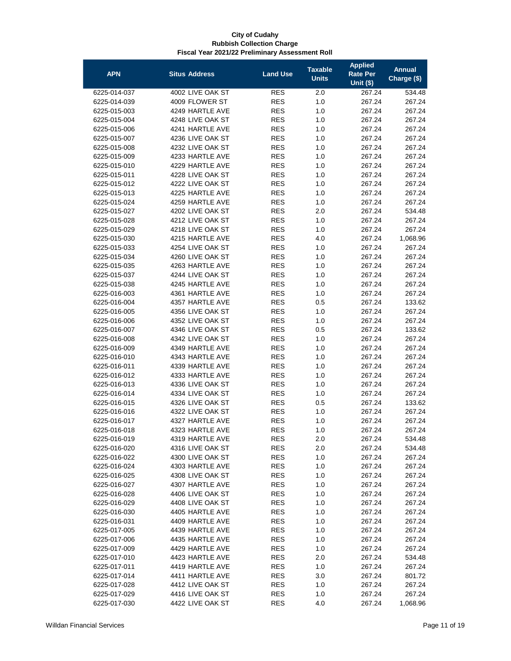| <b>APN</b>                   | <b>Situs Address</b>                 | <b>Land Use</b>          | <b>Taxable</b><br><b>Units</b> | <b>Applied</b><br><b>Rate Per</b><br>Unit $(§)$ | <b>Annual</b><br>Charge (\$) |
|------------------------------|--------------------------------------|--------------------------|--------------------------------|-------------------------------------------------|------------------------------|
| 6225-014-037                 | 4002 LIVE OAK ST                     | <b>RES</b>               | 2.0                            | 267.24                                          | 534.48                       |
| 6225-014-039                 | 4009 FLOWER ST                       | <b>RES</b>               | 1.0                            | 267.24                                          | 267.24                       |
| 6225-015-003                 | 4249 HARTLE AVE                      | <b>RES</b>               | 1.0                            | 267.24                                          | 267.24                       |
| 6225-015-004                 | 4248 LIVE OAK ST                     | <b>RES</b>               | 1.0                            | 267.24                                          | 267.24                       |
| 6225-015-006                 | 4241 HARTLE AVE                      | <b>RES</b>               | 1.0                            | 267.24                                          | 267.24                       |
| 6225-015-007                 | 4236 LIVE OAK ST                     | <b>RES</b>               | 1.0                            | 267.24                                          | 267.24                       |
| 6225-015-008                 | 4232 LIVE OAK ST                     | <b>RES</b>               | 1.0                            | 267.24                                          | 267.24                       |
| 6225-015-009                 | 4233 HARTLE AVE                      | <b>RES</b>               | 1.0                            | 267.24                                          | 267.24                       |
| 6225-015-010                 | 4229 HARTLE AVE                      | <b>RES</b>               | 1.0                            | 267.24                                          | 267.24                       |
| 6225-015-011                 | 4228 LIVE OAK ST                     | <b>RES</b>               | 1.0                            | 267.24                                          | 267.24                       |
| 6225-015-012                 | 4222 LIVE OAK ST                     | <b>RES</b>               | 1.0                            | 267.24                                          | 267.24                       |
| 6225-015-013                 | 4225 HARTLE AVE                      | <b>RES</b>               | 1.0                            | 267.24                                          | 267.24                       |
| 6225-015-024                 | 4259 HARTLE AVE                      | <b>RES</b>               | 1.0                            | 267.24                                          | 267.24                       |
| 6225-015-027                 | 4202 LIVE OAK ST                     | <b>RES</b>               | 2.0                            | 267.24                                          | 534.48                       |
| 6225-015-028                 | 4212 LIVE OAK ST                     | <b>RES</b>               | 1.0                            | 267.24                                          | 267.24                       |
| 6225-015-029                 | 4218 LIVE OAK ST                     | <b>RES</b>               | 1.0                            | 267.24                                          | 267.24                       |
| 6225-015-030                 | 4215 HARTLE AVE                      | <b>RES</b>               | 4.0                            | 267.24                                          | 1,068.96                     |
| 6225-015-033                 | 4254 LIVE OAK ST                     | <b>RES</b>               | 1.0                            | 267.24                                          | 267.24                       |
| 6225-015-034                 | 4260 LIVE OAK ST                     | <b>RES</b>               | 1.0                            | 267.24                                          | 267.24                       |
| 6225-015-035                 | 4263 HARTLE AVE                      | <b>RES</b>               | 1.0                            | 267.24                                          | 267.24                       |
| 6225-015-037                 | 4244 LIVE OAK ST                     | <b>RES</b>               | 1.0                            | 267.24                                          | 267.24                       |
| 6225-015-038                 | 4245 HARTLE AVE                      | <b>RES</b>               | 1.0                            | 267.24                                          | 267.24                       |
| 6225-016-003                 | 4361 HARTLE AVE                      | <b>RES</b>               | 1.0                            | 267.24                                          | 267.24                       |
| 6225-016-004                 | 4357 HARTLE AVE                      | <b>RES</b>               | 0.5                            | 267.24                                          | 133.62                       |
| 6225-016-005                 | 4356 LIVE OAK ST                     | <b>RES</b>               | 1.0                            | 267.24                                          | 267.24                       |
| 6225-016-006                 | 4352 LIVE OAK ST                     | <b>RES</b>               | 1.0                            | 267.24                                          | 267.24                       |
| 6225-016-007                 | 4346 LIVE OAK ST                     | <b>RES</b>               | 0.5                            | 267.24                                          | 133.62                       |
| 6225-016-008                 | 4342 LIVE OAK ST                     | <b>RES</b>               | 1.0                            | 267.24                                          | 267.24                       |
| 6225-016-009                 | 4349 HARTLE AVE                      | <b>RES</b>               | 1.0                            | 267.24                                          | 267.24                       |
| 6225-016-010                 | 4343 HARTLE AVE                      | <b>RES</b>               | 1.0                            | 267.24                                          | 267.24                       |
| 6225-016-011                 | 4339 HARTLE AVE                      | <b>RES</b>               | 1.0                            | 267.24                                          | 267.24                       |
| 6225-016-012<br>6225-016-013 | 4333 HARTLE AVE                      | <b>RES</b>               | 1.0                            | 267.24                                          | 267.24                       |
| 6225-016-014                 | 4336 LIVE OAK ST<br>4334 LIVE OAK ST | <b>RES</b><br><b>RES</b> | 1.0<br>1.0                     | 267.24<br>267.24                                | 267.24<br>267.24             |
| 6225-016-015                 | 4326 LIVE OAK ST                     | <b>RES</b>               | 0.5                            | 267.24                                          | 133.62                       |
| 6225-016-016                 | 4322 LIVE OAK ST                     | <b>RES</b>               | 1.0                            | 267.24                                          | 267.24                       |
| 6225-016-017                 | 4327 HARTLE AVE                      | <b>RES</b>               | 1.0                            | 267.24                                          | 267.24                       |
| 6225-016-018                 | 4323 HARTLE AVE                      | <b>RES</b>               | 1.0                            | 267.24                                          | 267.24                       |
| 6225-016-019                 | 4319 HARTLE AVE                      | <b>RES</b>               | 2.0                            | 267.24                                          | 534.48                       |
| 6225-016-020                 | 4316 LIVE OAK ST                     | <b>RES</b>               | 2.0                            | 267.24                                          | 534.48                       |
| 6225-016-022                 | 4300 LIVE OAK ST                     | <b>RES</b>               | 1.0                            | 267.24                                          | 267.24                       |
| 6225-016-024                 | 4303 HARTLE AVE                      | <b>RES</b>               | 1.0                            | 267.24                                          | 267.24                       |
| 6225-016-025                 | 4308 LIVE OAK ST                     | <b>RES</b>               | 1.0                            | 267.24                                          | 267.24                       |
| 6225-016-027                 | 4307 HARTLE AVE                      | <b>RES</b>               | 1.0                            | 267.24                                          | 267.24                       |
| 6225-016-028                 | 4406 LIVE OAK ST                     | <b>RES</b>               | 1.0                            | 267.24                                          | 267.24                       |
| 6225-016-029                 | 4408 LIVE OAK ST                     | <b>RES</b>               | 1.0                            | 267.24                                          | 267.24                       |
| 6225-016-030                 | 4405 HARTLE AVE                      | <b>RES</b>               | 1.0                            | 267.24                                          | 267.24                       |
| 6225-016-031                 | 4409 HARTLE AVE                      | <b>RES</b>               | 1.0                            | 267.24                                          | 267.24                       |
| 6225-017-005                 | 4439 HARTLE AVE                      | <b>RES</b>               | 1.0                            | 267.24                                          | 267.24                       |
| 6225-017-006                 | 4435 HARTLE AVE                      | <b>RES</b>               | 1.0                            | 267.24                                          | 267.24                       |
| 6225-017-009                 | 4429 HARTLE AVE                      | <b>RES</b>               | 1.0                            | 267.24                                          | 267.24                       |
| 6225-017-010                 | 4423 HARTLE AVE                      | <b>RES</b>               | 2.0                            | 267.24                                          | 534.48                       |
| 6225-017-011                 | 4419 HARTLE AVE                      | <b>RES</b>               | 1.0                            | 267.24                                          | 267.24                       |
| 6225-017-014                 | 4411 HARTLE AVE                      | <b>RES</b>               | 3.0                            | 267.24                                          | 801.72                       |
| 6225-017-028                 | 4412 LIVE OAK ST                     | <b>RES</b>               | 1.0                            | 267.24                                          | 267.24                       |
| 6225-017-029                 | 4416 LIVE OAK ST                     | <b>RES</b>               | 1.0                            | 267.24                                          | 267.24                       |
| 6225-017-030                 | 4422 LIVE OAK ST                     | <b>RES</b>               | 4.0                            | 267.24                                          | 1,068.96                     |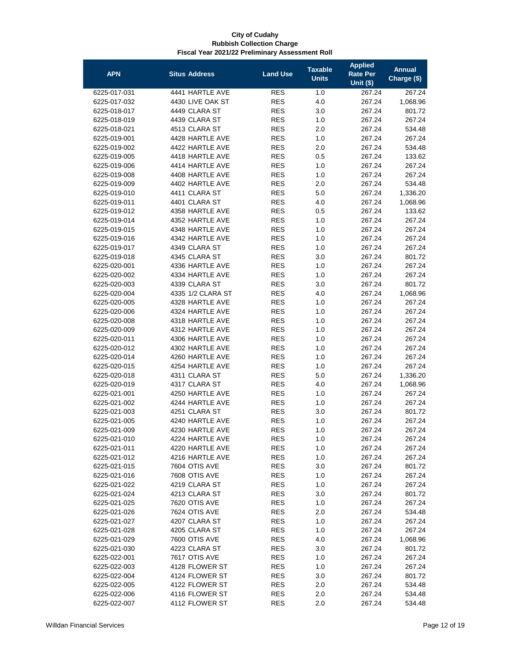| <b>APN</b>   | <b>Situs Address</b>               | <b>Land Use</b> | <b>Taxable</b><br><b>Units</b> | <b>Applied</b><br><b>Rate Per</b><br><b>Unit (\$)</b> | <b>Annual</b><br>Charge (\$) |
|--------------|------------------------------------|-----------------|--------------------------------|-------------------------------------------------------|------------------------------|
| 6225-017-031 | 4441 HARTLE AVE                    | <b>RES</b>      | 1.0                            | 267.24                                                | 267.24                       |
| 6225-017-032 | 4430 LIVE OAK ST                   | <b>RES</b>      | 4.0                            | 267.24                                                | 1,068.96                     |
| 6225-018-017 | 4449 CLARA ST                      | <b>RES</b>      | 3.0                            | 267.24                                                | 801.72                       |
| 6225-018-019 | 4439 CLARA ST                      | <b>RES</b>      | 1.0                            | 267.24                                                | 267.24                       |
| 6225-018-021 | 4513 CLARA ST                      | <b>RES</b>      | 2.0                            | 267.24                                                | 534.48                       |
| 6225-019-001 | 4428 HARTLE AVE                    | <b>RES</b>      | 1.0                            | 267.24                                                | 267.24                       |
| 6225-019-002 | 4422 HARTLE AVE                    | <b>RES</b>      | 2.0                            | 267.24                                                | 534.48                       |
| 6225-019-005 | 4418 HARTLE AVE                    | <b>RES</b>      | 0.5                            | 267.24                                                | 133.62                       |
| 6225-019-006 | 4414 HARTLE AVE                    | <b>RES</b>      | 1.0                            | 267.24                                                | 267.24                       |
| 6225-019-008 | 4408 HARTLE AVE                    | <b>RES</b>      | 1.0                            | 267.24                                                | 267.24                       |
| 6225-019-009 | 4402 HARTLE AVE                    | <b>RES</b>      | 2.0                            | 267.24                                                | 534.48                       |
| 6225-019-010 | 4411 CLARA ST                      | <b>RES</b>      | 5.0                            | 267.24                                                | 1,336.20                     |
| 6225-019-011 | 4401 CLARA ST                      | <b>RES</b>      | 4.0                            | 267.24                                                | 1,068.96                     |
|              | 4358 HARTLE AVE                    | <b>RES</b>      | 0.5                            |                                                       |                              |
| 6225-019-012 |                                    |                 |                                | 267.24                                                | 133.62                       |
| 6225-019-014 | 4352 HARTLE AVE<br>4348 HARTLE AVE | <b>RES</b>      | 1.0                            | 267.24                                                | 267.24                       |
| 6225-019-015 |                                    | <b>RES</b>      | 1.0                            | 267.24                                                | 267.24                       |
| 6225-019-016 | 4342 HARTLE AVE                    | <b>RES</b>      | 1.0                            | 267.24                                                | 267.24                       |
| 6225-019-017 | 4349 CLARA ST                      | <b>RES</b>      | 1.0                            | 267.24                                                | 267.24                       |
| 6225-019-018 | 4345 CLARA ST                      | <b>RES</b>      | 3.0                            | 267.24                                                | 801.72                       |
| 6225-020-001 | 4336 HARTLE AVE                    | <b>RES</b>      | 1.0                            | 267.24                                                | 267.24                       |
| 6225-020-002 | 4334 HARTLE AVE                    | <b>RES</b>      | 1.0                            | 267.24                                                | 267.24                       |
| 6225-020-003 | 4339 CLARA ST                      | <b>RES</b>      | 3.0                            | 267.24                                                | 801.72                       |
| 6225-020-004 | 4335 1/2 CLARA ST                  | <b>RES</b>      | 4.0                            | 267.24                                                | 1,068.96                     |
| 6225-020-005 | 4328 HARTLE AVE                    | <b>RES</b>      | 1.0                            | 267.24                                                | 267.24                       |
| 6225-020-006 | 4324 HARTLE AVE                    | <b>RES</b>      | 1.0                            | 267.24                                                | 267.24                       |
| 6225-020-008 | 4318 HARTLE AVE                    | <b>RES</b>      | 1.0                            | 267.24                                                | 267.24                       |
| 6225-020-009 | 4312 HARTLE AVE                    | <b>RES</b>      | 1.0                            | 267.24                                                | 267.24                       |
| 6225-020-011 | 4306 HARTLE AVE                    | <b>RES</b>      | 1.0                            | 267.24                                                | 267.24                       |
| 6225-020-012 | 4302 HARTLE AVE                    | <b>RES</b>      | 1.0                            | 267.24                                                | 267.24                       |
| 6225-020-014 | 4260 HARTLE AVE                    | <b>RES</b>      | 1.0                            | 267.24                                                | 267.24                       |
| 6225-020-015 | 4254 HARTLE AVE                    | <b>RES</b>      | 1.0                            | 267.24                                                | 267.24                       |
| 6225-020-018 | 4311 CLARA ST                      | <b>RES</b>      | 5.0                            | 267.24                                                | 1,336.20                     |
| 6225-020-019 | 4317 CLARA ST                      | <b>RES</b>      | 4.0                            | 267.24                                                | 1,068.96                     |
| 6225-021-001 | 4250 HARTLE AVE                    | <b>RES</b>      | 1.0                            | 267.24                                                | 267.24                       |
| 6225-021-002 | 4244 HARTLE AVE                    | <b>RES</b>      | 1.0                            | 267.24                                                | 267.24                       |
| 6225-021-003 | 4251 CLARA ST                      | <b>RES</b>      | 3.0                            | 267.24                                                | 801.72                       |
| 6225-021-005 | 4240 HARTLE AVE                    | <b>RES</b>      | 1.0                            | 267.24                                                | 267.24                       |
| 6225-021-009 | 4230 HARTLE AVE                    | <b>RES</b>      | 1.0                            | 267.24                                                | 267.24                       |
| 6225-021-010 | 4224 HARTLE AVE                    | RES             | 1.0                            | 267.24                                                | 267.24                       |
| 6225-021-011 | 4220 HARTLE AVE                    | <b>RES</b>      | 1.0                            | 267.24                                                | 267.24                       |
| 6225-021-012 | 4216 HARTLE AVE                    | RES             | 1.0                            | 267.24                                                | 267.24                       |
| 6225-021-015 | 7604 OTIS AVE                      | <b>RES</b>      | 3.0                            | 267.24                                                | 801.72                       |
| 6225-021-016 | 7608 OTIS AVE                      | <b>RES</b>      | 1.0                            | 267.24                                                | 267.24                       |
| 6225-021-022 | 4219 CLARA ST                      | <b>RES</b>      | 1.0                            | 267.24                                                | 267.24                       |
| 6225-021-024 | 4213 CLARA ST                      | <b>RES</b>      | 3.0                            | 267.24                                                | 801.72                       |
| 6225-021-025 | 7620 OTIS AVE                      | <b>RES</b>      | 1.0                            | 267.24                                                | 267.24                       |
| 6225-021-026 | 7624 OTIS AVE                      | <b>RES</b>      | 2.0                            | 267.24                                                | 534.48                       |
| 6225-021-027 | 4207 CLARA ST                      | <b>RES</b>      | 1.0                            | 267.24                                                | 267.24                       |
| 6225-021-028 | 4205 CLARA ST                      | <b>RES</b>      | 1.0                            | 267.24                                                | 267.24                       |
| 6225-021-029 | 7600 OTIS AVE                      | <b>RES</b>      | 4.0                            | 267.24                                                | 1,068.96                     |
| 6225-021-030 | 4223 CLARA ST                      | <b>RES</b>      | 3.0                            | 267.24                                                | 801.72                       |
| 6225-022-001 | 7617 OTIS AVE                      | <b>RES</b>      | 1.0                            | 267.24                                                | 267.24                       |
| 6225-022-003 | 4128 FLOWER ST                     | RES             | 1.0                            | 267.24                                                | 267.24                       |
| 6225-022-004 | 4124 FLOWER ST                     | <b>RES</b>      | 3.0                            | 267.24                                                | 801.72                       |
| 6225-022-005 | 4122 FLOWER ST                     | <b>RES</b>      | 2.0                            | 267.24                                                | 534.48                       |
| 6225-022-006 | 4116 FLOWER ST                     | <b>RES</b>      | 2.0                            | 267.24                                                | 534.48                       |
| 6225-022-007 | 4112 FLOWER ST                     | <b>RES</b>      | 2.0                            | 267.24                                                | 534.48                       |
|              |                                    |                 |                                |                                                       |                              |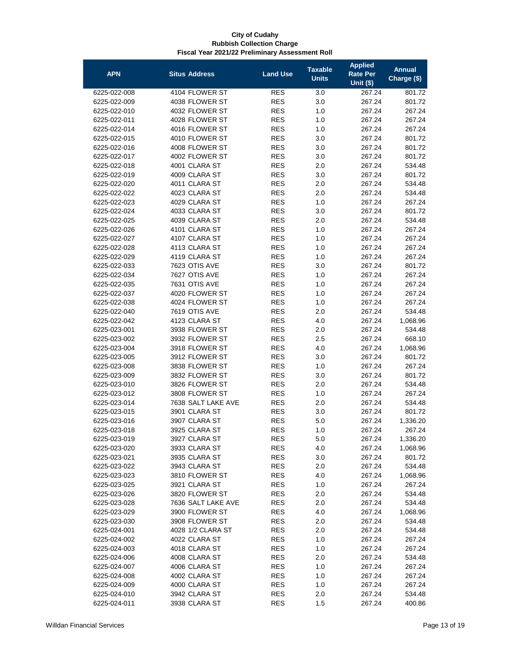| <b>APN</b>   | <b>Situs Address</b> | <b>Land Use</b> | <b>Taxable</b> | <b>Applied</b><br>Rate Per | <b>Annual</b> |
|--------------|----------------------|-----------------|----------------|----------------------------|---------------|
|              |                      |                 | <b>Units</b>   | <b>Unit (\$)</b>           | Charge (\$)   |
| 6225-022-008 | 4104 FLOWER ST       | <b>RES</b>      | 3.0            | 267.24                     | 801.72        |
| 6225-022-009 | 4038 FLOWER ST       | RES             | 3.0            | 267.24                     | 801.72        |
| 6225-022-010 | 4032 FLOWER ST       | <b>RES</b>      | 1.0            | 267.24                     | 267.24        |
| 6225-022-011 | 4028 FLOWER ST       | <b>RES</b>      | 1.0            | 267.24                     | 267.24        |
| 6225-022-014 | 4016 FLOWER ST       | <b>RES</b>      | 1.0            | 267.24                     | 267.24        |
| 6225-022-015 | 4010 FLOWER ST       | <b>RES</b>      | 3.0            | 267.24                     | 801.72        |
| 6225-022-016 | 4008 FLOWER ST       | <b>RES</b>      | 3.0            | 267.24                     | 801.72        |
| 6225-022-017 | 4002 FLOWER ST       | <b>RES</b>      | 3.0            | 267.24                     | 801.72        |
| 6225-022-018 | 4001 CLARA ST        | <b>RES</b>      | 2.0            | 267.24                     | 534.48        |
| 6225-022-019 | 4009 CLARA ST        | <b>RES</b>      | 3.0            | 267.24                     | 801.72        |
| 6225-022-020 | 4011 CLARA ST        | <b>RES</b>      | 2.0            | 267.24                     | 534.48        |
| 6225-022-022 | 4023 CLARA ST        | <b>RES</b>      | 2.0            | 267.24                     | 534.48        |
| 6225-022-023 | 4029 CLARA ST        | <b>RES</b>      | 1.0            | 267.24                     | 267.24        |
| 6225-022-024 | 4033 CLARA ST        | <b>RES</b>      | 3.0            | 267.24                     | 801.72        |
| 6225-022-025 | 4039 CLARA ST        | <b>RES</b>      | 2.0            | 267.24                     | 534.48        |
| 6225-022-026 | 4101 CLARA ST        | <b>RES</b>      | 1.0            | 267.24                     | 267.24        |
| 6225-022-027 | 4107 CLARA ST        | <b>RES</b>      | 1.0            | 267.24                     | 267.24        |
| 6225-022-028 | 4113 CLARA ST        | <b>RES</b>      | 1.0            | 267.24                     | 267.24        |
| 6225-022-029 | 4119 CLARA ST        | <b>RES</b>      | 1.0            | 267.24                     | 267.24        |
| 6225-022-033 | 7623 OTIS AVE        | <b>RES</b>      | 3.0            | 267.24                     | 801.72        |
| 6225-022-034 | 7627 OTIS AVE        | <b>RES</b>      | 1.0            | 267.24                     | 267.24        |
| 6225-022-035 | 7631 OTIS AVE        | <b>RES</b>      | 1.0            | 267.24                     | 267.24        |
| 6225-022-037 | 4020 FLOWER ST       | <b>RES</b>      | 1.0            | 267.24                     | 267.24        |
| 6225-022-038 | 4024 FLOWER ST       | <b>RES</b>      | 1.0            | 267.24                     | 267.24        |
| 6225-022-040 | 7619 OTIS AVE        | <b>RES</b>      | 2.0            | 267.24                     | 534.48        |
| 6225-022-042 | 4123 CLARA ST        | <b>RES</b>      | 4.0            | 267.24                     | 1,068.96      |
| 6225-023-001 | 3938 FLOWER ST       | <b>RES</b>      | 2.0            | 267.24                     | 534.48        |
| 6225-023-002 | 3932 FLOWER ST       | <b>RES</b>      | 2.5            | 267.24                     | 668.10        |
| 6225-023-004 | 3918 FLOWER ST       | <b>RES</b>      | 4.0            | 267.24                     | 1,068.96      |
| 6225-023-005 | 3912 FLOWER ST       | <b>RES</b>      | 3.0            | 267.24                     | 801.72        |
| 6225-023-008 | 3838 FLOWER ST       | <b>RES</b>      | 1.0            | 267.24                     | 267.24        |
| 6225-023-009 | 3832 FLOWER ST       | <b>RES</b>      | 3.0            | 267.24                     | 801.72        |
| 6225-023-010 | 3826 FLOWER ST       | <b>RES</b>      | 2.0            | 267.24                     | 534.48        |
| 6225-023-012 | 3808 FLOWER ST       | <b>RES</b>      | 1.0            | 267.24                     | 267.24        |
| 6225-023-014 | 7638 SALT LAKE AVE   | RES             | 2.0            | 267.24                     | 534.48        |
| 6225-023-015 | 3901 CLARA ST        | <b>RES</b>      | 3.0            | 267.24                     | 801.72        |
| 6225-023-016 | 3907 CLARA ST        | RES             | 5.0            | 267.24                     | 1,336.20      |
| 6225-023-018 | 3925 CLARA ST        | RES             | 1.0            | 267.24                     | 267.24        |
| 6225-023-019 | 3927 CLARA ST        | <b>RES</b>      | 5.0            | 267.24                     | 1,336.20      |
| 6225-023-020 | 3933 CLARA ST        | <b>RES</b>      | 4.0            | 267.24                     | 1,068.96      |
| 6225-023-021 | 3935 CLARA ST        | <b>RES</b>      | 3.0            | 267.24                     | 801.72        |
| 6225-023-022 | 3943 CLARA ST        | <b>RES</b>      | 2.0            | 267.24                     | 534.48        |
| 6225-023-023 | 3810 FLOWER ST       | <b>RES</b>      | 4.0            | 267.24                     | 1,068.96      |
| 6225-023-025 | 3921 CLARA ST        | <b>RES</b>      | 1.0            | 267.24                     | 267.24        |
| 6225-023-026 | 3820 FLOWER ST       | <b>RES</b>      | 2.0            | 267.24                     | 534.48        |
| 6225-023-028 | 7636 SALT LAKE AVE   | <b>RES</b>      | 2.0            | 267.24                     | 534.48        |
| 6225-023-029 | 3900 FLOWER ST       | <b>RES</b>      | 4.0            | 267.24                     | 1,068.96      |
| 6225-023-030 | 3908 FLOWER ST       | <b>RES</b>      | 2.0            | 267.24                     | 534.48        |
| 6225-024-001 | 4028 1/2 CLARA ST    | <b>RES</b>      | 2.0            | 267.24                     | 534.48        |
| 6225-024-002 | 4022 CLARA ST        | <b>RES</b>      | 1.0            | 267.24                     | 267.24        |
| 6225-024-003 | 4018 CLARA ST        | RES             | 1.0            | 267.24                     | 267.24        |
| 6225-024-006 | 4008 CLARA ST        | RES             | 2.0            | 267.24                     | 534.48        |
| 6225-024-007 | 4006 CLARA ST        | <b>RES</b>      | 1.0            | 267.24                     | 267.24        |
| 6225-024-008 | 4002 CLARA ST        | <b>RES</b>      | 1.0            | 267.24                     | 267.24        |
| 6225-024-009 | 4000 CLARA ST        | RES             | 1.0            | 267.24                     | 267.24        |
| 6225-024-010 | 3942 CLARA ST        | <b>RES</b>      | 2.0            | 267.24                     | 534.48        |
| 6225-024-011 | 3938 CLARA ST        | <b>RES</b>      | 1.5            | 267.24                     | 400.86        |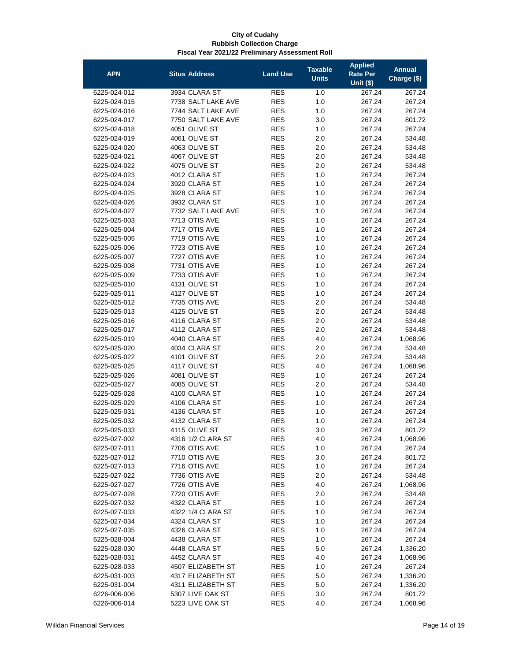| <b>APN</b>                   | <b>Situs Address</b>           | <b>Land Use</b>          | <b>Taxable</b><br><b>Units</b> | <b>Applied</b><br>Rate Per<br>Unit $(s)$ | <b>Annual</b><br>Charge (\$) |
|------------------------------|--------------------------------|--------------------------|--------------------------------|------------------------------------------|------------------------------|
| 6225-024-012                 | 3934 CLARA ST                  | <b>RES</b>               | 1.0                            | 267.24                                   | 267.24                       |
| 6225-024-015                 | 7738 SALT LAKE AVE             | <b>RES</b>               | 1.0                            | 267.24                                   | 267.24                       |
| 6225-024-016                 | 7744 SALT LAKE AVE             | <b>RES</b>               | 1.0                            | 267.24                                   | 267.24                       |
| 6225-024-017                 | 7750 SALT LAKE AVE             | <b>RES</b>               | 3.0                            | 267.24                                   | 801.72                       |
| 6225-024-018                 | 4051 OLIVE ST                  | <b>RES</b>               | 1.0                            | 267.24                                   | 267.24                       |
| 6225-024-019                 | 4061 OLIVE ST                  | <b>RES</b>               | 2.0                            | 267.24                                   | 534.48                       |
| 6225-024-020                 | 4063 OLIVE ST                  | <b>RES</b>               | 2.0                            | 267.24                                   | 534.48                       |
| 6225-024-021                 | 4067 OLIVE ST                  | <b>RES</b>               | 2.0                            | 267.24                                   | 534.48                       |
| 6225-024-022                 | 4075 OLIVE ST                  | <b>RES</b>               | 2.0                            | 267.24                                   | 534.48                       |
| 6225-024-023                 | 4012 CLARA ST                  | <b>RES</b>               | 1.0                            | 267.24                                   | 267.24                       |
| 6225-024-024                 | 3920 CLARA ST                  | <b>RES</b>               | 1.0                            | 267.24                                   | 267.24                       |
| 6225-024-025                 | 3928 CLARA ST                  | <b>RES</b>               | 1.0                            | 267.24                                   | 267.24                       |
| 6225-024-026                 | 3932 CLARA ST                  | <b>RES</b>               | 1.0                            | 267.24                                   | 267.24                       |
| 6225-024-027                 | 7732 SALT LAKE AVE             | <b>RES</b>               | 1.0                            | 267.24                                   | 267.24                       |
| 6225-025-003                 | 7713 OTIS AVE                  | <b>RES</b>               | 1.0                            | 267.24                                   | 267.24                       |
| 6225-025-004                 | 7717 OTIS AVE                  | <b>RES</b>               | 1.0                            | 267.24                                   | 267.24                       |
| 6225-025-005                 | 7719 OTIS AVE                  | <b>RES</b>               | 1.0                            | 267.24                                   | 267.24                       |
| 6225-025-006                 | 7723 OTIS AVE                  | <b>RES</b>               | 1.0                            | 267.24                                   | 267.24                       |
| 6225-025-007                 | 7727 OTIS AVE                  | <b>RES</b>               | 1.0                            | 267.24                                   | 267.24                       |
| 6225-025-008                 | 7731 OTIS AVE                  | <b>RES</b>               | 1.0                            | 267.24                                   | 267.24                       |
| 6225-025-009                 | 7733 OTIS AVE                  | <b>RES</b>               | 1.0                            | 267.24                                   | 267.24                       |
| 6225-025-010                 | 4131 OLIVE ST                  | <b>RES</b>               | 1.0                            | 267.24                                   | 267.24                       |
| 6225-025-011                 | 4127 OLIVE ST                  | <b>RES</b>               | 1.0                            | 267.24                                   | 267.24                       |
| 6225-025-012                 | 7735 OTIS AVE                  | <b>RES</b>               | 2.0                            | 267.24                                   | 534.48                       |
| 6225-025-013                 | 4125 OLIVE ST                  | <b>RES</b>               | 2.0                            | 267.24                                   | 534.48                       |
| 6225-025-016                 | 4116 CLARA ST                  | <b>RES</b>               | 2.0                            | 267.24                                   | 534.48                       |
| 6225-025-017                 | 4112 CLARA ST                  | <b>RES</b>               | 2.0                            | 267.24                                   | 534.48                       |
| 6225-025-019                 | 4040 CLARA ST                  | <b>RES</b>               | 4.0                            | 267.24                                   | 1,068.96                     |
| 6225-025-020                 | 4034 CLARA ST                  | <b>RES</b>               | 2.0                            | 267.24                                   | 534.48                       |
| 6225-025-022                 | 4101 OLIVE ST                  | <b>RES</b>               | 2.0                            | 267.24                                   | 534.48                       |
| 6225-025-025                 | 4117 OLIVE ST                  | <b>RES</b>               | 4.0                            | 267.24                                   | 1,068.96                     |
| 6225-025-026                 | 4081 OLIVE ST                  | <b>RES</b>               | 1.0                            | 267.24                                   | 267.24                       |
| 6225-025-027                 | 4085 OLIVE ST                  | <b>RES</b>               | 2.0                            | 267.24                                   | 534.48                       |
| 6225-025-028                 | 4100 CLARA ST                  | <b>RES</b>               | 1.0                            | 267.24                                   | 267.24                       |
| 6225-025-029                 | 4106 CLARA ST                  | <b>RES</b>               | 1.0                            | 267.24                                   | 267.24                       |
| 6225-025-031                 | 4136 CLARA ST                  | <b>RES</b>               | 1.0                            | 267.24                                   | 267.24                       |
| 6225-025-032                 | 4132 CLARA ST                  | <b>RES</b>               | 1.0                            | 267.24                                   | 267.24                       |
| 6225-025-033                 | 4115 OLIVE ST                  | <b>RES</b>               | 3.0                            | 267.24                                   | 801.72                       |
| 6225-027-002                 | 4316 1/2 CLARA ST              | <b>RES</b>               | 4.0                            | 267.24                                   | 1,068.96                     |
| 6225-027-011                 | 7706 OTIS AVE                  | <b>RES</b><br><b>RES</b> | 1.0                            | 267.24                                   | 267.24                       |
| 6225-027-012                 | 7710 OTIS AVE<br>7716 OTIS AVE |                          | 3.0                            | 267.24                                   | 801.72                       |
| 6225-027-013<br>6225-027-022 | 7736 OTIS AVE                  | <b>RES</b><br><b>RES</b> | 1.0<br>2.0                     | 267.24<br>267.24                         | 267.24<br>534.48             |
| 6225-027-027                 | 7726 OTIS AVE                  | <b>RES</b>               | 4.0                            | 267.24                                   | 1,068.96                     |
| 6225-027-028                 | 7720 OTIS AVE                  | <b>RES</b>               |                                | 267.24                                   |                              |
| 6225-027-032                 | 4322 CLARA ST                  | <b>RES</b>               | 2.0<br>1.0                     | 267.24                                   | 534.48<br>267.24             |
| 6225-027-033                 | 4322 1/4 CLARA ST              | <b>RES</b>               | 1.0                            | 267.24                                   | 267.24                       |
| 6225-027-034                 | 4324 CLARA ST                  | <b>RES</b>               | 1.0                            | 267.24                                   | 267.24                       |
| 6225-027-035                 | 4326 CLARA ST                  | <b>RES</b>               | 1.0                            | 267.24                                   | 267.24                       |
| 6225-028-004                 | 4438 CLARA ST                  | <b>RES</b>               | 1.0                            | 267.24                                   | 267.24                       |
| 6225-028-030                 | 4448 CLARA ST                  | <b>RES</b>               | 5.0                            | 267.24                                   | 1,336.20                     |
| 6225-028-031                 | 4452 CLARA ST                  | <b>RES</b>               | 4.0                            | 267.24                                   | 1,068.96                     |
| 6225-028-033                 | 4507 ELIZABETH ST              | <b>RES</b>               | 1.0                            | 267.24                                   | 267.24                       |
| 6225-031-003                 | 4317 ELIZABETH ST              | <b>RES</b>               | 5.0                            | 267.24                                   | 1,336.20                     |
| 6225-031-004                 | 4311 ELIZABETH ST              | <b>RES</b>               | 5.0                            | 267.24                                   | 1,336.20                     |
| 6226-006-006                 | 5307 LIVE OAK ST               | <b>RES</b>               | 3.0                            | 267.24                                   | 801.72                       |
| 6226-006-014                 | 5223 LIVE OAK ST               | <b>RES</b>               | 4.0                            | 267.24                                   | 1,068.96                     |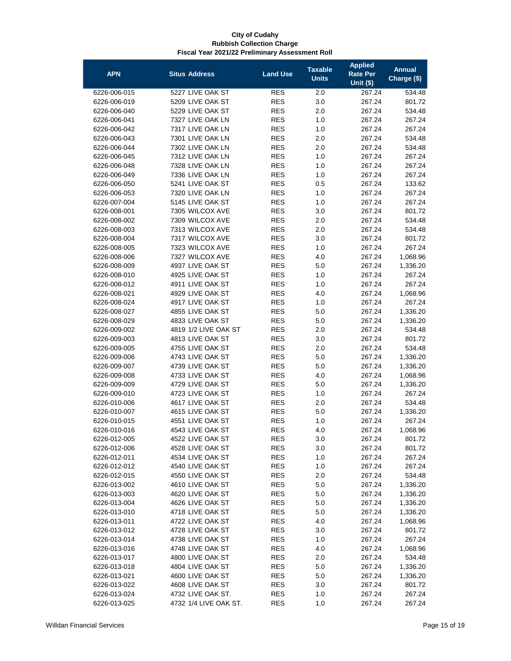| <b>APN</b>   | <b>Situs Address</b>  | <b>Land Use</b> | <b>Taxable</b><br><b>Units</b> | <b>Applied</b><br>Rate Per | <b>Annual</b><br>Charge (\$) |
|--------------|-----------------------|-----------------|--------------------------------|----------------------------|------------------------------|
|              |                       |                 |                                | Unit $($)$                 |                              |
| 6226-006-015 | 5227 LIVE OAK ST      | <b>RES</b>      | 2.0                            | 267.24                     | 534.48                       |
| 6226-006-019 | 5209 LIVE OAK ST      | <b>RES</b>      | 3.0                            | 267.24                     | 801.72                       |
| 6226-006-040 | 5229 LIVE OAK ST      | <b>RES</b>      | 2.0                            | 267.24                     | 534.48                       |
| 6226-006-041 | 7327 LIVE OAK LN      | <b>RES</b>      | 1.0                            | 267.24                     | 267.24                       |
| 6226-006-042 | 7317 LIVE OAK LN      | <b>RES</b>      | 1.0                            | 267.24                     | 267.24                       |
| 6226-006-043 | 7301 LIVE OAK LN      | <b>RES</b>      | 2.0                            | 267.24                     | 534.48                       |
| 6226-006-044 | 7302 LIVE OAK LN      | <b>RES</b>      | 2.0                            | 267.24                     | 534.48                       |
| 6226-006-045 | 7312 LIVE OAK LN      | <b>RES</b>      | 1.0                            | 267.24                     | 267.24                       |
| 6226-006-048 | 7328 LIVE OAK LN      | <b>RES</b>      | 1.0                            | 267.24                     | 267.24                       |
| 6226-006-049 | 7336 LIVE OAK LN      | <b>RES</b>      | 1.0                            | 267.24                     | 267.24                       |
| 6226-006-050 | 5241 LIVE OAK ST      | <b>RES</b>      | 0.5                            | 267.24                     | 133.62                       |
| 6226-006-053 | 7320 LIVE OAK LN      | <b>RES</b>      | 1.0                            | 267.24                     | 267.24                       |
| 6226-007-004 | 5145 LIVE OAK ST      | <b>RES</b>      | 1.0                            | 267.24                     | 267.24                       |
| 6226-008-001 | 7305 WILCOX AVE       | <b>RES</b>      | 3.0                            | 267.24                     | 801.72                       |
| 6226-008-002 | 7309 WILCOX AVE       | <b>RES</b>      | 2.0                            | 267.24                     | 534.48                       |
| 6226-008-003 | 7313 WILCOX AVE       | <b>RES</b>      | 2.0                            | 267.24                     | 534.48                       |
| 6226-008-004 | 7317 WILCOX AVE       | <b>RES</b>      | 3.0                            | 267.24                     | 801.72                       |
| 6226-008-005 | 7323 WILCOX AVE       | <b>RES</b>      | 1.0                            | 267.24                     | 267.24                       |
| 6226-008-006 | 7327 WILCOX AVE       | <b>RES</b>      | 4.0                            | 267.24                     | 1,068.96                     |
| 6226-008-009 | 4937 LIVE OAK ST      | <b>RES</b>      | 5.0                            | 267.24                     |                              |
|              |                       |                 |                                |                            | 1,336.20                     |
| 6226-008-010 | 4925 LIVE OAK ST      | <b>RES</b>      | 1.0                            | 267.24                     | 267.24                       |
| 6226-008-012 | 4911 LIVE OAK ST      | <b>RES</b>      | 1.0                            | 267.24                     | 267.24                       |
| 6226-008-021 | 4929 LIVE OAK ST      | <b>RES</b>      | 4.0                            | 267.24                     | 1,068.96                     |
| 6226-008-024 | 4917 LIVE OAK ST      | <b>RES</b>      | 1.0                            | 267.24                     | 267.24                       |
| 6226-008-027 | 4855 LIVE OAK ST      | <b>RES</b>      | 5.0                            | 267.24                     | 1,336.20                     |
| 6226-008-029 | 4833 LIVE OAK ST      | <b>RES</b>      | 5.0                            | 267.24                     | 1,336.20                     |
| 6226-009-002 | 4819 1/2 LIVE OAK ST  | <b>RES</b>      | 2.0                            | 267.24                     | 534.48                       |
| 6226-009-003 | 4813 LIVE OAK ST      | <b>RES</b>      | 3.0                            | 267.24                     | 801.72                       |
| 6226-009-005 | 4755 LIVE OAK ST      | <b>RES</b>      | 2.0                            | 267.24                     | 534.48                       |
| 6226-009-006 | 4743 LIVE OAK ST      | <b>RES</b>      | 5.0                            | 267.24                     | 1,336.20                     |
| 6226-009-007 | 4739 LIVE OAK ST      | <b>RES</b>      | 5.0                            | 267.24                     | 1,336.20                     |
| 6226-009-008 | 4733 LIVE OAK ST      | <b>RES</b>      | 4.0                            | 267.24                     | 1,068.96                     |
| 6226-009-009 | 4729 LIVE OAK ST      | <b>RES</b>      | 5.0                            | 267.24                     | 1,336.20                     |
| 6226-009-010 | 4723 LIVE OAK ST      | <b>RES</b>      | 1.0                            | 267.24                     | 267.24                       |
| 6226-010-006 | 4617 LIVE OAK ST      | <b>RES</b>      | 2.0                            | 267.24                     | 534.48                       |
| 6226-010-007 | 4615 LIVE OAK ST      | <b>RES</b>      | 5.0                            | 267.24                     | 1,336.20                     |
| 6226-010-015 | 4551 LIVE OAK ST      | <b>RES</b>      | 1.0                            | 267.24                     | 267.24                       |
| 6226-010-016 | 4543 LIVE OAK ST      | <b>RES</b>      | 4.0                            | 267.24                     | 1,068.96                     |
| 6226-012-005 | 4522 LIVE OAK ST      | <b>RES</b>      | 3.0                            | 267.24                     | 801.72                       |
| 6226-012-006 | 4528 LIVE OAK ST      | <b>RES</b>      | 3.0                            | 267.24                     | 801.72                       |
| 6226-012-011 | 4534 LIVE OAK ST      | <b>RES</b>      | 1.0                            | 267.24                     | 267.24                       |
| 6226-012-012 | 4540 LIVE OAK ST      | <b>RES</b>      | 1.0                            | 267.24                     | 267.24                       |
| 6226-012-015 | 4550 LIVE OAK ST      | <b>RES</b>      | 2.0                            | 267.24                     | 534.48                       |
| 6226-013-002 | 4610 LIVE OAK ST      | <b>RES</b>      | 5.0                            | 267.24                     | 1,336.20                     |
| 6226-013-003 | 4620 LIVE OAK ST      | <b>RES</b>      | 5.0                            | 267.24                     | 1,336.20                     |
| 6226-013-004 | 4626 LIVE OAK ST      | <b>RES</b>      | 5.0                            | 267.24                     | 1,336.20                     |
| 6226-013-010 | 4718 LIVE OAK ST      | <b>RES</b>      | 5.0                            | 267.24                     | 1,336.20                     |
| 6226-013-011 | 4722 LIVE OAK ST      | <b>RES</b>      | 4.0                            | 267.24                     | 1,068.96                     |
| 6226-013-012 | 4728 LIVE OAK ST      | <b>RES</b>      | 3.0                            | 267.24                     | 801.72                       |
| 6226-013-014 | 4738 LIVE OAK ST      | <b>RES</b>      | 1.0                            | 267.24                     | 267.24                       |
| 6226-013-016 | 4748 LIVE OAK ST      | <b>RES</b>      | 4.0                            | 267.24                     | 1,068.96                     |
| 6226-013-017 | 4800 LIVE OAK ST      | <b>RES</b>      | 2.0                            | 267.24                     | 534.48                       |
| 6226-013-018 | 4804 LIVE OAK ST      | <b>RES</b>      | 5.0                            | 267.24                     | 1,336.20                     |
| 6226-013-021 | 4600 LIVE OAK ST      | <b>RES</b>      | 5.0                            | 267.24                     | 1,336.20                     |
| 6226-013-022 | 4608 LIVE OAK ST      | <b>RES</b>      | 3.0                            | 267.24                     | 801.72                       |
| 6226-013-024 | 4732 LIVE OAK ST.     | <b>RES</b>      | 1.0                            | 267.24                     | 267.24                       |
| 6226-013-025 | 4732 1/4 LIVE OAK ST. | <b>RES</b>      | 1.0                            | 267.24                     | 267.24                       |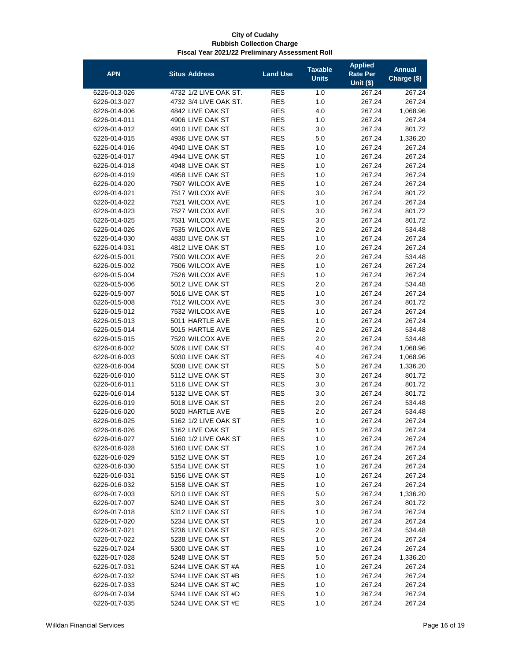| <b>APN</b>                   | <b>Situs Address</b>               | <b>Land Use</b>          | <b>Taxable</b><br><b>Units</b> | <b>Applied</b><br>Rate Per<br><b>Unit (\$)</b> | <b>Annual</b><br>Charge (\$) |
|------------------------------|------------------------------------|--------------------------|--------------------------------|------------------------------------------------|------------------------------|
| 6226-013-026                 | 4732 1/2 LIVE OAK ST.              | <b>RES</b>               | 1.0                            | 267.24                                         | 267.24                       |
| 6226-013-027                 | 4732 3/4 LIVE OAK ST.              | <b>RES</b>               | 1.0                            | 267.24                                         | 267.24                       |
| 6226-014-006                 | 4842 LIVE OAK ST                   | <b>RES</b>               | 4.0                            | 267.24                                         | 1,068.96                     |
| 6226-014-011                 | 4906 LIVE OAK ST                   | <b>RES</b>               | 1.0                            | 267.24                                         | 267.24                       |
| 6226-014-012                 | 4910 LIVE OAK ST                   | <b>RES</b>               | 3.0                            | 267.24                                         | 801.72                       |
| 6226-014-015                 | 4936 LIVE OAK ST                   | <b>RES</b>               | 5.0                            | 267.24                                         | 1,336.20                     |
| 6226-014-016                 | 4940 LIVE OAK ST                   | <b>RES</b>               | 1.0                            | 267.24                                         | 267.24                       |
| 6226-014-017                 | 4944 LIVE OAK ST                   | <b>RES</b>               | 1.0                            | 267.24                                         | 267.24                       |
| 6226-014-018                 | 4948 LIVE OAK ST                   | <b>RES</b>               | 1.0                            | 267.24                                         | 267.24                       |
| 6226-014-019                 | 4958 LIVE OAK ST                   | <b>RES</b>               | 1.0                            | 267.24                                         | 267.24                       |
| 6226-014-020                 | 7507 WILCOX AVE                    | <b>RES</b>               | 1.0                            | 267.24                                         | 267.24                       |
| 6226-014-021                 | 7517 WILCOX AVE                    | <b>RES</b>               | 3.0                            | 267.24                                         | 801.72                       |
| 6226-014-022                 | 7521 WILCOX AVE                    | <b>RES</b>               | 1.0                            | 267.24                                         | 267.24                       |
| 6226-014-023                 | 7527 WILCOX AVE                    | <b>RES</b>               | 3.0                            | 267.24                                         | 801.72                       |
| 6226-014-025                 | 7531 WILCOX AVE                    | <b>RES</b>               | 3.0                            | 267.24                                         | 801.72                       |
| 6226-014-026                 | 7535 WILCOX AVE                    | <b>RES</b>               | 2.0                            | 267.24                                         | 534.48                       |
| 6226-014-030                 | 4830 LIVE OAK ST                   | <b>RES</b>               | 1.0                            | 267.24                                         | 267.24                       |
| 6226-014-031                 | 4812 LIVE OAK ST                   | <b>RES</b>               | 1.0                            | 267.24                                         | 267.24                       |
| 6226-015-001                 | 7500 WILCOX AVE                    | <b>RES</b>               | 2.0                            | 267.24                                         | 534.48                       |
| 6226-015-002                 | 7506 WILCOX AVE                    | <b>RES</b>               | 1.0                            | 267.24                                         | 267.24                       |
| 6226-015-004                 | 7526 WILCOX AVE                    | <b>RES</b>               | 1.0                            | 267.24                                         | 267.24                       |
| 6226-015-006                 | 5012 LIVE OAK ST                   | <b>RES</b>               | 2.0                            | 267.24                                         | 534.48                       |
| 6226-015-007                 | 5016 LIVE OAK ST                   | <b>RES</b>               | 1.0                            | 267.24                                         | 267.24                       |
| 6226-015-008                 | 7512 WILCOX AVE                    | <b>RES</b><br><b>RES</b> | 3.0                            | 267.24                                         | 801.72                       |
| 6226-015-012                 | 7532 WILCOX AVE<br>5011 HARTLE AVE | <b>RES</b>               | 1.0                            | 267.24                                         | 267.24                       |
| 6226-015-013<br>6226-015-014 | 5015 HARTLE AVE                    | <b>RES</b>               | 1.0<br>2.0                     | 267.24<br>267.24                               | 267.24<br>534.48             |
| 6226-015-015                 | 7520 WILCOX AVE                    | <b>RES</b>               | 2.0                            | 267.24                                         | 534.48                       |
| 6226-016-002                 | 5026 LIVE OAK ST                   | <b>RES</b>               | 4.0                            | 267.24                                         | 1,068.96                     |
| 6226-016-003                 | 5030 LIVE OAK ST                   | <b>RES</b>               | 4.0                            | 267.24                                         | 1,068.96                     |
| 6226-016-004                 | 5038 LIVE OAK ST                   | <b>RES</b>               | 5.0                            | 267.24                                         | 1,336.20                     |
| 6226-016-010                 | 5112 LIVE OAK ST                   | <b>RES</b>               | 3.0                            | 267.24                                         | 801.72                       |
| 6226-016-011                 | 5116 LIVE OAK ST                   | <b>RES</b>               | 3.0                            | 267.24                                         | 801.72                       |
| 6226-016-014                 | 5132 LIVE OAK ST                   | <b>RES</b>               | 3.0                            | 267.24                                         | 801.72                       |
| 6226-016-019                 | 5018 LIVE OAK ST                   | <b>RES</b>               | 2.0                            | 267.24                                         | 534.48                       |
| 6226-016-020                 | 5020 HARTLE AVE                    | <b>RES</b>               | 2.0                            | 267.24                                         | 534.48                       |
| 6226-016-025                 | 5162 1/2 LIVE OAK ST               | <b>RES</b>               | 1.0                            | 267.24                                         | 267.24                       |
| 6226-016-026                 | 5162 LIVE OAK ST                   | <b>RES</b>               | 1.0                            | 267.24                                         | 267.24                       |
| 6226-016-027                 | 5160 1/2 LIVE OAK ST               | <b>RES</b>               | 1.0                            | 267.24                                         | 267.24                       |
| 6226-016-028                 | 5160 LIVE OAK ST                   | <b>RES</b>               | 1.0                            | 267.24                                         | 267.24                       |
| 6226-016-029                 | 5152 LIVE OAK ST                   | <b>RES</b>               | 1.0                            | 267.24                                         | 267.24                       |
| 6226-016-030                 | 5154 LIVE OAK ST                   | <b>RES</b>               | 1.0                            | 267.24                                         | 267.24                       |
| 6226-016-031                 | 5156 LIVE OAK ST                   | <b>RES</b>               | 1.0                            | 267.24                                         | 267.24                       |
| 6226-016-032                 | 5158 LIVE OAK ST                   | <b>RES</b>               | 1.0                            | 267.24                                         | 267.24                       |
| 6226-017-003                 | 5210 LIVE OAK ST                   | <b>RES</b>               | 5.0                            | 267.24                                         | 1,336.20                     |
| 6226-017-007                 | 5240 LIVE OAK ST                   | <b>RES</b>               | 3.0                            | 267.24                                         | 801.72                       |
| 6226-017-018                 | 5312 LIVE OAK ST                   | <b>RES</b>               | 1.0                            | 267.24                                         | 267.24                       |
| 6226-017-020                 | 5234 LIVE OAK ST                   | <b>RES</b>               | 1.0                            | 267.24                                         | 267.24                       |
| 6226-017-021                 | 5236 LIVE OAK ST                   | <b>RES</b>               | 2.0                            | 267.24                                         | 534.48                       |
| 6226-017-022                 | 5238 LIVE OAK ST                   | <b>RES</b>               | 1.0                            | 267.24                                         | 267.24                       |
| 6226-017-024                 | 5300 LIVE OAK ST                   | <b>RES</b>               | 1.0                            | 267.24                                         | 267.24                       |
| 6226-017-028                 | 5248 LIVE OAK ST                   | <b>RES</b>               | 5.0                            | 267.24                                         | 1,336.20                     |
| 6226-017-031                 | 5244 LIVE OAK ST #A                | <b>RES</b>               | 1.0                            | 267.24                                         | 267.24                       |
| 6226-017-032                 | 5244 LIVE OAK ST #B                | <b>RES</b>               | 1.0                            | 267.24                                         | 267.24                       |
| 6226-017-033                 | 5244 LIVE OAK ST #C                | <b>RES</b>               | 1.0                            | 267.24                                         | 267.24                       |
| 6226-017-034                 | 5244 LIVE OAK ST #D                | <b>RES</b>               | 1.0                            | 267.24                                         | 267.24                       |
| 6226-017-035                 | 5244 LIVE OAK ST #E                | <b>RES</b>               | 1.0                            | 267.24                                         | 267.24                       |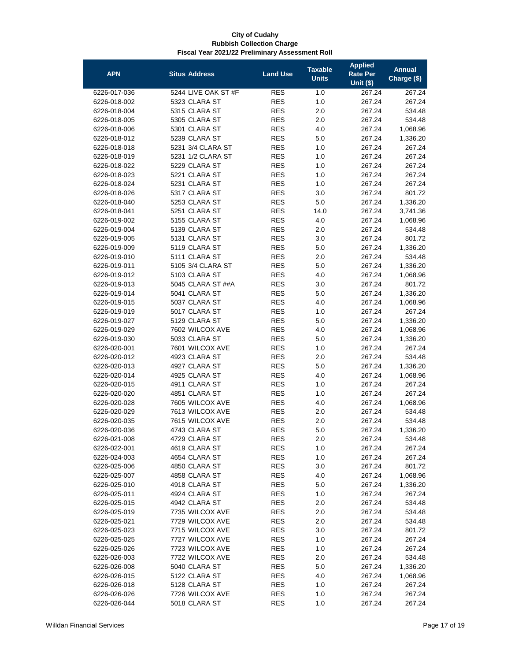| <b>APN</b>   | <b>Situs Address</b> | <b>Land Use</b> | <b>Taxable</b><br><b>Units</b> | <b>Applied</b><br><b>Rate Per</b><br>Unit $($)$ | <b>Annual</b><br>Charge (\$) |
|--------------|----------------------|-----------------|--------------------------------|-------------------------------------------------|------------------------------|
| 6226-017-036 | 5244 LIVE OAK ST #F  | <b>RES</b>      | 1.0                            | 267.24                                          | 267.24                       |
| 6226-018-002 | 5323 CLARA ST        | <b>RES</b>      | 1.0                            | 267.24                                          | 267.24                       |
| 6226-018-004 | 5315 CLARA ST        | <b>RES</b>      | 2.0                            | 267.24                                          | 534.48                       |
| 6226-018-005 | 5305 CLARA ST        | <b>RES</b>      | 2.0                            | 267.24                                          | 534.48                       |
| 6226-018-006 | 5301 CLARA ST        | <b>RES</b>      | 4.0                            | 267.24                                          | 1,068.96                     |
| 6226-018-012 | 5239 CLARA ST        | <b>RES</b>      | 5.0                            | 267.24                                          | 1,336.20                     |
| 6226-018-018 | 5231 3/4 CLARA ST    | <b>RES</b>      | 1.0                            | 267.24                                          | 267.24                       |
| 6226-018-019 | 5231 1/2 CLARA ST    | <b>RES</b>      | 1.0                            | 267.24                                          | 267.24                       |
| 6226-018-022 | 5229 CLARA ST        | <b>RES</b>      | 1.0                            | 267.24                                          | 267.24                       |
| 6226-018-023 | 5221 CLARA ST        | <b>RES</b>      | 1.0                            | 267.24                                          | 267.24                       |
| 6226-018-024 | 5231 CLARA ST        | <b>RES</b>      | 1.0                            | 267.24                                          | 267.24                       |
| 6226-018-026 | 5317 CLARA ST        | <b>RES</b>      | 3.0                            | 267.24                                          | 801.72                       |
| 6226-018-040 | 5253 CLARA ST        | <b>RES</b>      | 5.0                            | 267.24                                          | 1,336.20                     |
| 6226-018-041 | 5251 CLARA ST        | <b>RES</b>      | 14.0                           | 267.24                                          | 3,741.36                     |
| 6226-019-002 | 5155 CLARA ST        | <b>RES</b>      | 4.0                            | 267.24                                          | 1,068.96                     |
| 6226-019-004 | 5139 CLARA ST        | <b>RES</b>      | 2.0                            | 267.24                                          | 534.48                       |
| 6226-019-005 | 5131 CLARA ST        | <b>RES</b>      | 3.0                            | 267.24                                          | 801.72                       |
| 6226-019-009 | 5119 CLARA ST        | <b>RES</b>      | 5.0                            | 267.24                                          | 1,336.20                     |
| 6226-019-010 | 5111 CLARA ST        | <b>RES</b>      | 2.0                            | 267.24                                          | 534.48                       |
| 6226-019-011 | 5105 3/4 CLARA ST    | <b>RES</b>      | 5.0                            | 267.24                                          | 1,336.20                     |
| 6226-019-012 | 5103 CLARA ST        | <b>RES</b>      | 4.0                            | 267.24                                          | 1,068.96                     |
| 6226-019-013 | 5045 CLARA ST ##A    | <b>RES</b>      | 3.0                            | 267.24                                          | 801.72                       |
| 6226-019-014 | 5041 CLARA ST        | <b>RES</b>      | 5.0                            | 267.24                                          | 1,336.20                     |
| 6226-019-015 | 5037 CLARA ST        | <b>RES</b>      | 4.0                            | 267.24                                          | 1,068.96                     |
| 6226-019-019 | 5017 CLARA ST        | <b>RES</b>      | 1.0                            | 267.24                                          | 267.24                       |
| 6226-019-027 | 5129 CLARA ST        | <b>RES</b>      | 5.0                            | 267.24                                          | 1,336.20                     |
| 6226-019-029 | 7602 WILCOX AVE      | <b>RES</b>      | 4.0                            | 267.24                                          | 1,068.96                     |
| 6226-019-030 | 5033 CLARA ST        | <b>RES</b>      | 5.0                            | 267.24                                          | 1,336.20                     |
| 6226-020-001 | 7601 WILCOX AVE      | <b>RES</b>      | 1.0                            | 267.24                                          | 267.24                       |
| 6226-020-012 | 4923 CLARA ST        | <b>RES</b>      | 2.0                            | 267.24                                          | 534.48                       |
| 6226-020-013 | 4927 CLARA ST        | <b>RES</b>      | 5.0                            | 267.24                                          | 1,336.20                     |
| 6226-020-014 | 4925 CLARA ST        | <b>RES</b>      | 4.0                            | 267.24                                          | 1,068.96                     |
| 6226-020-015 | 4911 CLARA ST        | <b>RES</b>      | 1.0                            | 267.24                                          | 267.24                       |
| 6226-020-020 | 4851 CLARA ST        | <b>RES</b>      | 1.0                            | 267.24                                          | 267.24                       |
| 6226-020-028 | 7605 WILCOX AVE      | <b>RES</b>      | 4.0                            | 267.24                                          | 1,068.96                     |
| 6226-020-029 | 7613 WILCOX AVE      | <b>RES</b>      | 2.0                            | 267.24                                          | 534.48                       |
| 6226-020-035 | 7615 WILCOX AVE      | <b>RES</b>      | 2.0                            | 267.24                                          | 534.48                       |
| 6226-020-036 | 4743 CLARA ST        | <b>RES</b>      | 5.0                            | 267.24                                          | 1,336.20                     |
| 6226-021-008 | 4729 CLARA ST        | <b>RES</b>      | 2.0                            | 267.24                                          | 534.48                       |
| 6226-022-001 | 4619 CLARA ST        | <b>RES</b>      | 1.0                            | 267.24                                          | 267.24                       |
| 6226-024-003 | 4654 CLARA ST        | <b>RES</b>      | 1.0                            | 267.24                                          | 267.24                       |
| 6226-025-006 | 4850 CLARA ST        | <b>RES</b>      | 3.0                            | 267.24                                          | 801.72                       |
| 6226-025-007 | 4858 CLARA ST        | <b>RES</b>      | 4.0                            | 267.24                                          | 1,068.96                     |
| 6226-025-010 | 4918 CLARA ST        | RES             | 5.0                            | 267.24                                          | 1,336.20                     |
| 6226-025-011 | 4924 CLARA ST        | <b>RES</b>      | 1.0                            | 267.24                                          | 267.24                       |
| 6226-025-015 | 4942 CLARA ST        | <b>RES</b>      | 2.0                            | 267.24                                          | 534.48                       |
| 6226-025-019 | 7735 WILCOX AVE      | <b>RES</b>      | 2.0                            | 267.24                                          | 534.48                       |
| 6226-025-021 | 7729 WILCOX AVE      | <b>RES</b>      | 2.0                            | 267.24                                          | 534.48                       |
| 6226-025-023 | 7715 WILCOX AVE      | <b>RES</b>      | 3.0                            | 267.24                                          | 801.72                       |
| 6226-025-025 | 7727 WILCOX AVE      | <b>RES</b>      | 1.0                            | 267.24                                          | 267.24                       |
| 6226-025-026 | 7723 WILCOX AVE      | <b>RES</b>      | 1.0                            | 267.24                                          | 267.24                       |
| 6226-026-003 | 7722 WILCOX AVE      | <b>RES</b>      | 2.0                            | 267.24                                          | 534.48                       |
| 6226-026-008 | 5040 CLARA ST        | <b>RES</b>      | 5.0                            | 267.24                                          | 1,336.20                     |
| 6226-026-015 | 5122 CLARA ST        | <b>RES</b>      | 4.0                            | 267.24                                          | 1,068.96                     |
| 6226-026-018 | 5128 CLARA ST        | <b>RES</b>      | 1.0                            | 267.24                                          | 267.24                       |
| 6226-026-026 | 7726 WILCOX AVE      | <b>RES</b>      | 1.0                            | 267.24                                          | 267.24                       |
| 6226-026-044 | 5018 CLARA ST        | <b>RES</b>      | 1.0                            | 267.24                                          | 267.24                       |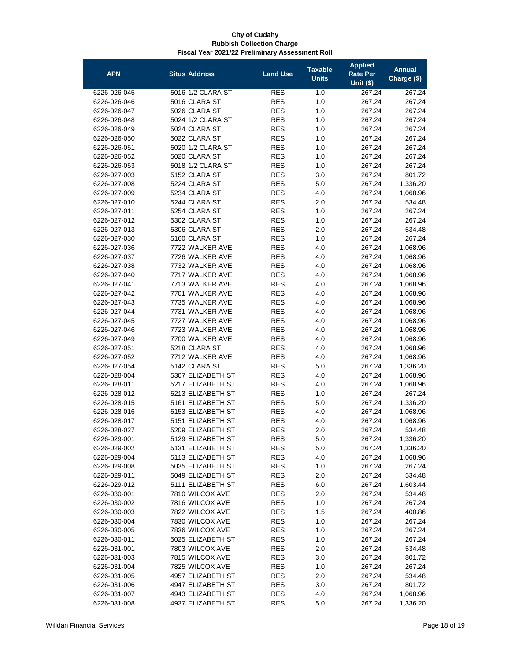| <b>APN</b>                   | <b>Situs Address</b>                   | <b>Land Use</b>          | <b>Taxable</b><br><b>Units</b> | <b>Applied</b><br><b>Rate Per</b><br>Unit $($)$ | <b>Annual</b><br>Charge (\$) |
|------------------------------|----------------------------------------|--------------------------|--------------------------------|-------------------------------------------------|------------------------------|
| 6226-026-045                 | 5016 1/2 CLARA ST                      | <b>RES</b>               | 1.0                            | 267.24                                          | 267.24                       |
| 6226-026-046                 | 5016 CLARA ST                          | <b>RES</b>               | 1.0                            | 267.24                                          | 267.24                       |
| 6226-026-047                 | 5026 CLARA ST                          | <b>RES</b>               | 1.0                            | 267.24                                          | 267.24                       |
| 6226-026-048                 | 5024 1/2 CLARA ST                      | <b>RES</b>               | 1.0                            | 267.24                                          | 267.24                       |
| 6226-026-049                 | 5024 CLARA ST                          | <b>RES</b>               | 1.0                            | 267.24                                          | 267.24                       |
| 6226-026-050                 | 5022 CLARA ST                          | <b>RES</b>               | 1.0                            | 267.24                                          | 267.24                       |
| 6226-026-051                 | 5020 1/2 CLARA ST                      | <b>RES</b>               | 1.0                            | 267.24                                          | 267.24                       |
| 6226-026-052                 | 5020 CLARA ST                          | <b>RES</b>               | 1.0                            | 267.24                                          | 267.24                       |
| 6226-026-053                 | 5018 1/2 CLARA ST                      | <b>RES</b>               | 1.0                            | 267.24                                          | 267.24                       |
| 6226-027-003                 | 5152 CLARA ST                          | <b>RES</b>               | 3.0                            | 267.24                                          | 801.72                       |
| 6226-027-008                 | 5224 CLARA ST                          | <b>RES</b>               | 5.0                            | 267.24                                          | 1,336.20                     |
| 6226-027-009                 | 5234 CLARA ST                          | <b>RES</b>               | 4.0                            | 267.24                                          | 1,068.96                     |
| 6226-027-010                 | 5244 CLARA ST                          | <b>RES</b>               | 2.0                            | 267.24                                          | 534.48                       |
| 6226-027-011                 | 5254 CLARA ST                          | <b>RES</b>               | 1.0                            | 267.24                                          | 267.24                       |
| 6226-027-012                 | 5302 CLARA ST                          | <b>RES</b>               | 1.0                            | 267.24                                          | 267.24                       |
| 6226-027-013                 | 5306 CLARA ST                          | <b>RES</b>               | 2.0                            | 267.24                                          | 534.48                       |
| 6226-027-030                 | 5160 CLARA ST                          | <b>RES</b>               | 1.0                            | 267.24                                          | 267.24                       |
| 6226-027-036                 | 7722 WALKER AVE                        | <b>RES</b>               | 4.0                            | 267.24                                          | 1,068.96                     |
| 6226-027-037                 | 7726 WALKER AVE                        | <b>RES</b>               | 4.0                            | 267.24                                          | 1,068.96                     |
| 6226-027-038                 | 7732 WALKER AVE                        | <b>RES</b>               | 4.0                            | 267.24                                          | 1,068.96                     |
| 6226-027-040                 | 7717 WALKER AVE                        | <b>RES</b>               | 4.0                            | 267.24                                          | 1,068.96                     |
| 6226-027-041                 | 7713 WALKER AVE                        | <b>RES</b>               | 4.0                            | 267.24                                          | 1,068.96                     |
| 6226-027-042                 | 7701 WALKER AVE                        | <b>RES</b>               | 4.0                            | 267.24                                          | 1,068.96                     |
| 6226-027-043                 | 7735 WALKER AVE                        | <b>RES</b>               | 4.0                            | 267.24                                          | 1,068.96                     |
| 6226-027-044                 | 7731 WALKER AVE                        | <b>RES</b>               | 4.0                            | 267.24                                          | 1,068.96                     |
| 6226-027-045                 | 7727 WALKER AVE                        | <b>RES</b>               | 4.0                            | 267.24                                          | 1,068.96                     |
| 6226-027-046                 | 7723 WALKER AVE                        | <b>RES</b>               | 4.0                            | 267.24                                          | 1,068.96                     |
| 6226-027-049                 | 7700 WALKER AVE                        | <b>RES</b>               | 4.0                            | 267.24                                          | 1,068.96                     |
| 6226-027-051                 | 5218 CLARA ST                          | <b>RES</b>               | 4.0                            | 267.24                                          | 1,068.96                     |
| 6226-027-052                 | 7712 WALKER AVE                        | <b>RES</b>               | 4.0                            | 267.24                                          | 1,068.96                     |
| 6226-027-054                 | 5142 CLARA ST                          | <b>RES</b>               | 5.0                            | 267.24                                          | 1,336.20                     |
| 6226-028-004                 | 5307 ELIZABETH ST                      | <b>RES</b>               | 4.0                            | 267.24                                          | 1,068.96                     |
| 6226-028-011                 | 5217 ELIZABETH ST                      | <b>RES</b>               | 4.0                            | 267.24                                          | 1,068.96                     |
| 6226-028-012                 | 5213 ELIZABETH ST                      | <b>RES</b>               | 1.0                            | 267.24                                          | 267.24                       |
| 6226-028-015                 | 5161 ELIZABETH ST                      | <b>RES</b>               | 5.0                            | 267.24                                          | 1,336.20                     |
| 6226-028-016                 | 5153 ELIZABETH ST                      | <b>RES</b>               | 4.0                            | 267.24                                          | 1,068.96                     |
| 6226-028-017                 | 5151 ELIZABETH ST                      | RES                      | 4.0                            | 267.24                                          | 1,068.96                     |
| 6226-028-027                 | 5209 ELIZABETH ST                      | <b>RES</b><br><b>RES</b> | 2.0                            | 267.24                                          | 534.48                       |
| 6226-029-001                 | 5129 ELIZABETH ST                      |                          | 5.0                            | 267.24                                          | 1,336.20                     |
| 6226-029-002<br>6226-029-004 | 5131 ELIZABETH ST<br>5113 ELIZABETH ST | <b>RES</b><br><b>RES</b> | 5.0                            | 267.24                                          | 1,336.20<br>1,068.96         |
| 6226-029-008                 | 5035 ELIZABETH ST                      | <b>RES</b>               | 4.0<br>1.0                     | 267.24<br>267.24                                | 267.24                       |
| 6226-029-011                 | 5049 ELIZABETH ST                      | <b>RES</b>               | 2.0                            | 267.24                                          | 534.48                       |
| 6226-029-012                 | 5111 ELIZABETH ST                      | RES                      | 6.0                            | 267.24                                          | 1,603.44                     |
| 6226-030-001                 | 7810 WILCOX AVE                        | <b>RES</b>               | 2.0                            | 267.24                                          | 534.48                       |
| 6226-030-002                 | 7816 WILCOX AVE                        | <b>RES</b>               | 1.0                            | 267.24                                          | 267.24                       |
| 6226-030-003                 | 7822 WILCOX AVE                        | <b>RES</b>               | 1.5                            | 267.24                                          | 400.86                       |
| 6226-030-004                 | 7830 WILCOX AVE                        | <b>RES</b>               | 1.0                            | 267.24                                          | 267.24                       |
| 6226-030-005                 | 7836 WILCOX AVE                        | <b>RES</b>               | 1.0                            | 267.24                                          | 267.24                       |
| 6226-030-011                 | 5025 ELIZABETH ST                      | <b>RES</b>               | 1.0                            | 267.24                                          | 267.24                       |
| 6226-031-001                 | 7803 WILCOX AVE                        | <b>RES</b>               | 2.0                            | 267.24                                          | 534.48                       |
| 6226-031-003                 | 7815 WILCOX AVE                        | <b>RES</b>               | 3.0                            | 267.24                                          | 801.72                       |
| 6226-031-004                 | 7825 WILCOX AVE                        | <b>RES</b>               | 1.0                            | 267.24                                          | 267.24                       |
| 6226-031-005                 | 4957 ELIZABETH ST                      | <b>RES</b>               | 2.0                            | 267.24                                          | 534.48                       |
| 6226-031-006                 | 4947 ELIZABETH ST                      | <b>RES</b>               | 3.0                            | 267.24                                          | 801.72                       |
| 6226-031-007                 | 4943 ELIZABETH ST                      | RES                      | 4.0                            | 267.24                                          | 1,068.96                     |
| 6226-031-008                 | 4937 ELIZABETH ST                      | <b>RES</b>               | 5.0                            | 267.24                                          | 1,336.20                     |